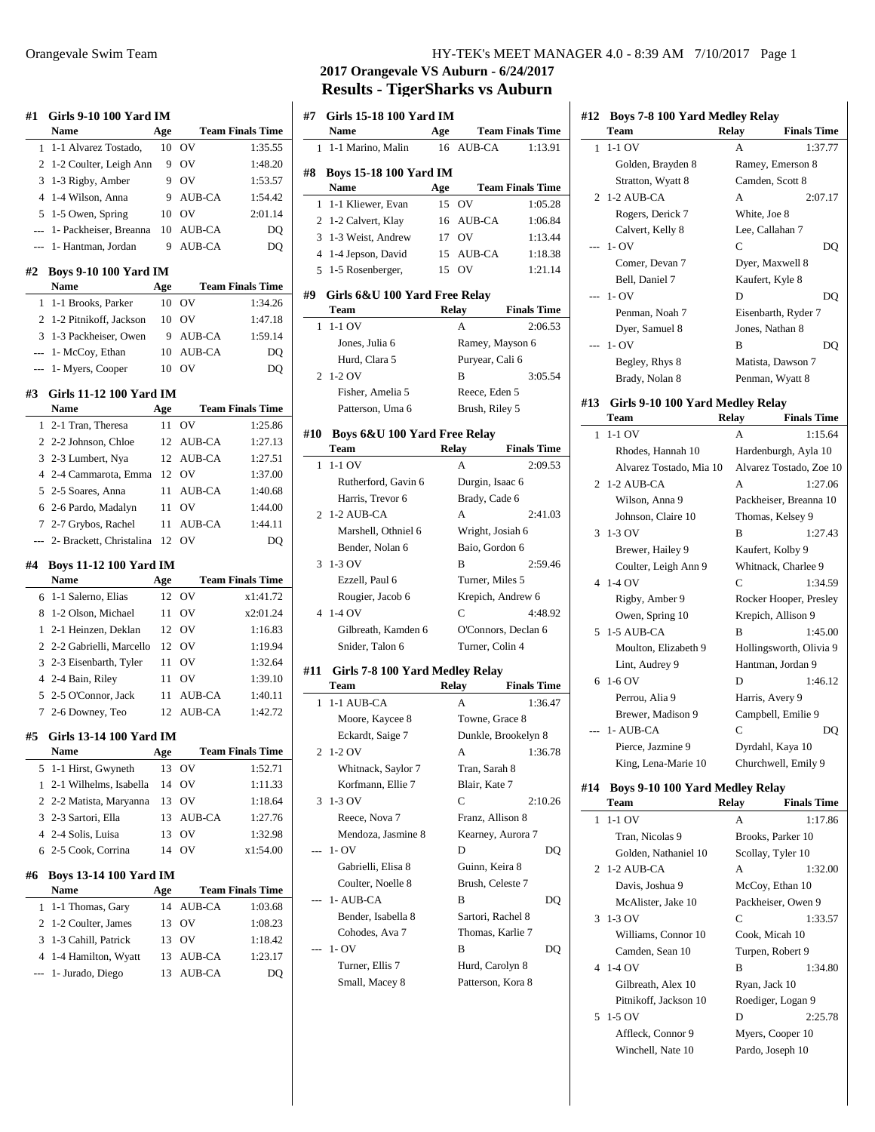| #1             | Girls 9-10 100 Yard IM<br>Name        | Age      |               | <b>Team Finals Time</b> |
|----------------|---------------------------------------|----------|---------------|-------------------------|
| 1              | 1-1 Alvarez Tostado,                  | 10       | OV            | 1:35.55                 |
| 2              | 1-2 Coulter, Leigh Ann                | 9        | OV            | 1:48.20                 |
| 3              | 1-3 Rigby, Amber                      | 9        | OV            | 1:53.57                 |
| 4              | 1-4 Wilson, Anna                      | 9        | <b>AUB-CA</b> | 1:54.42                 |
| 5              | 1-5 Owen, Spring                      | 10       | OV            | 2:01.14                 |
| $\overline{a}$ | 1- Packheiser, Breanna                | 10       | <b>AUB-CA</b> | DQ                      |
| $\overline{a}$ | 1- Hantman, Jordan                    | 9        | <b>AUB-CA</b> | DQ                      |
| #2             | <b>Boys 9-10 100 Yard IM</b><br>Name  | Age      |               | <b>Team Finals Time</b> |
| 1              | 1-1 Brooks, Parker                    | 10       | OV            | 1:34.26                 |
| 2              | 1-2 Pitnikoff, Jackson                | 10       | OV            | 1:47.18                 |
| 3              | 1-3 Packheiser, Owen                  | 9        | AUB-CA        | 1:59.14                 |
| $---$          | 1- McCoy, Ethan                       | 10       | AUB-CA        | DQ                      |
|                | 1- Myers, Cooper                      | 10       | OV            | DQ                      |
| #3             | Girls 11-12 100 Yard IM               |          |               |                         |
|                | <b>Name</b>                           | Age      |               | <b>Team Finals Time</b> |
| 1              | 2-1 Tran, Theresa                     | 11       | OV            | 1:25.86                 |
| $\overline{c}$ | 2-2 Johnson, Chloe                    | 12       | AUB-CA        | 1:27.13                 |
| 3              | 2-3 Lumbert, Nya                      | 12       | <b>AUB-CA</b> | 1:27.51                 |
| $\overline{4}$ | 2-4 Cammarota, Emma                   | 12       | <b>OV</b>     | 1:37.00                 |
| 5              | 2-5 Soares, Anna                      | 11       | <b>AUB-CA</b> | 1:40.68                 |
| 6              | 2-6 Pardo, Madalyn                    | 11       | OV            | 1:44.00                 |
| 7              | 2-7 Grybos, Rachel                    | 11       | AUB-CA        | 1:44.11                 |
|                | 2- Brackett, Christalina              | 12       | OV            | DQ                      |
|                |                                       |          |               |                         |
| #4             | <b>Boys 11-12 100 Yard IM</b>         |          |               |                         |
|                | <b>Name</b>                           | Age      |               | <b>Team Finals Time</b> |
| 6              | 1-1 Salerno, Elias                    | 12       | ov            | x1:41.72                |
| 8              | 1-2 Olson, Michael                    | 11       | OV            | x2:01.24                |
| 1              | 2-1 Heinzen, Deklan                   | 12       | OV            | 1:16.83                 |
| $\overline{c}$ | 2-2 Gabrielli, Marcello               | 12       | OV            | 1:19.94                 |
| 3              | 2-3 Eisenbarth, Tyler                 | 11       | OV            | 1:32.64                 |
| $\overline{4}$ | 2-4 Bain, Riley                       | 11       | OV            | 1:39.10                 |
| 5              | 2-5 O'Connor, Jack                    | 11       | <b>AUB-CA</b> | 1:40.11                 |
| 7              | 2-6 Downey, Teo                       | 12       | <b>AUB-CA</b> | 1:42.72                 |
|                | #5 Girls 13-14 100 Yard IM            |          |               |                         |
|                | Name                                  | Age      |               | <b>Team Finals Time</b> |
| 5              | 1-1 Hirst, Gwyneth                    | 13       | ov            | 1:52.71                 |
| 1              | 2-1 Wilhelms, Isabella                | 14       | OV            | 1:11.33                 |
| 2              | 2-2 Matista, Maryanna                 | 13       | OV            | 1:18.64                 |
| 3              | 2-3 Sartori, Ella                     | 13       | AUB-CA        | 1:27.76                 |
| 4<br>6         | 2-4 Solis, Luisa                      | 13<br>14 | OV<br>OV      | 1:32.98                 |
|                | 2-5 Cook, Corrina                     |          |               | x1:54.00                |
| #6             | <b>Boys 13-14 100 Yard IM</b><br>Name | Age      |               | <b>Team Finals Time</b> |
| 1              | 1-1 Thomas, Gary                      | 14       | AUB-CA        | 1:03.68                 |
| 2              | 1-2 Coulter, James                    | 13       | OV            | 1:08.23                 |
| 3              | 1-3 Cahill, Patrick                   | 13       | OV            | 1:18.42                 |
| 4              | 1-4 Hamilton, Wyatt                   | 13       | AUB-CA        | 1:23.17                 |
| ---            | 1- Jurado, Diego                      | 13       | AUB-CA        | DQ                      |

## Orangevale Swim Team HY-TEK's MEET MANAGER 4.0 - 8:39 AM 7/10/2017 Page 1

# **2017 Orangevale VS Auburn - 6/24/2017 Results - TigerSharks vs Auburn**

| #7             | Girls 15-18 100 Yard IM<br>Name              | Age          |                   | <b>Team Finals Time</b> |
|----------------|----------------------------------------------|--------------|-------------------|-------------------------|
| 1              | 1-1 Marino, Malin                            | 16           | <b>AUB-CA</b>     | 1:13.91                 |
|                |                                              |              |                   |                         |
| #8             | <b>Boys 15-18 100 Yard IM</b><br><b>Name</b> | Age          |                   | <b>Team Finals Time</b> |
| 1              | 1-1 Kliewer, Evan                            | 15           | O <sub>V</sub>    | 1:05.28                 |
| 2              | 1-2 Calvert, Klay                            | 16           | AUB-CA            | 1:06.84                 |
| 3              | 1-3 Weist, Andrew                            | 17           | OV                | 1:13.44                 |
| $\overline{4}$ | 1-4 Jepson, David                            | 15           | AUB-CA            | 1:18.38                 |
| 5              | 1-5 Rosenberger,                             | 15           | OV                | 1:21.14                 |
|                |                                              |              |                   |                         |
| #9             | Girls 6&U 100 Yard Free Relay<br>Team        | Relay        |                   | <b>Finals Time</b>      |
| 1              | $1-1$ OV                                     |              | А                 | 2:06.53                 |
|                |                                              |              |                   |                         |
|                | Jones, Julia 6                               |              | Ramey, Mayson 6   |                         |
|                | Hurd, Clara 5                                |              | Puryear, Cali 6   |                         |
| 2              | 1-2 OV                                       |              | B                 | 3:05.54                 |
|                | Fisher, Amelia 5                             |              | Reece, Eden 5     |                         |
|                | Patterson, Uma 6                             |              | Brush, Riley 5    |                         |
| #10            | Boys 6&U 100 Yard Free Relay                 |              |                   |                         |
|                | Team                                         | <b>Relay</b> |                   | <b>Finals Time</b>      |
| 1              | $1-1$ OV                                     |              | А                 | 2:09.53                 |
|                | Rutherford, Gavin 6                          |              | Durgin, Isaac 6   |                         |
|                | Harris, Trevor 6                             |              | Brady, Cade 6     |                         |
| 2              | 1-2 AUB-CA                                   |              | A                 | 2:41.03                 |
|                | Marshell, Othniel 6                          |              | Wright, Josiah 6  |                         |
|                | Bender, Nolan 6                              |              | Baio, Gordon 6    |                         |
| 3              | 1-3 OV                                       |              | B                 | 2:59.46                 |
|                | Ezzell, Paul 6                               |              | Turner, Miles 5   |                         |
|                | Rougier, Jacob 6                             |              | Krepich, Andrew 6 |                         |
| 4              | 1-4 OV                                       |              | C                 | 4:48.92                 |
|                | Gilbreath, Kamden 6                          |              |                   | O'Connors, Declan 6     |
|                | Snider, Talon 6                              |              | Turner, Colin 4   |                         |
| #11            | Girls 7-8 100 Yard Medley Relay              |              |                   |                         |
|                | Team                                         | Relay        |                   | <b>Finals Time</b>      |
| 1              | 1-1 AUB-CA                                   |              | А                 | 1:36.47                 |
|                | Moore, Kaycee 8                              |              | Towne, Grace 8    |                         |
|                | Eckardt, Saige 7                             |              |                   | Dunkle, Brookelyn 8     |
| 2              | 1-2 OV                                       |              | А                 | 1:36.78                 |
|                | Whitnack, Saylor 7                           |              | Tran, Sarah 8     |                         |
|                | Korfmann, Ellie 7                            |              | Blair, Kate 7     |                         |
| 3              | 1-3 OV                                       |              | C                 | 2:10.26                 |
|                | Reece, Nova 7                                |              | Franz, Allison 8  |                         |
|                | Mendoza, Jasmine 8                           |              | Kearney, Aurora 7 |                         |
|                | $1 - OV$                                     |              | D                 | DQ                      |
|                | Gabrielli, Elisa 8                           |              | Guinn, Keira 8    |                         |
|                | Coulter, Noelle 8                            |              | Brush, Celeste 7  |                         |
|                | 1- AUB-CA                                    |              | в                 | DQ                      |
|                | Bender, Isabella 8                           |              | Sartori, Rachel 8 |                         |
|                | Cohodes, Ava 7                               |              | Thomas, Karlie 7  |                         |
|                | $1 - OV$                                     |              | B                 | DQ                      |
|                | Turner, Ellis 7                              |              |                   |                         |
|                |                                              |              | Hurd, Carolyn 8   |                         |
|                | Small, Macey 8                               |              | Patterson, Kora 8 |                         |

| #12            | Boys 7-8 100 Yard Medley Relay<br>Team         | <b>Relay</b><br><b>Finals Time</b> |
|----------------|------------------------------------------------|------------------------------------|
| 1              | $1-1$ OV                                       | 1:37.77<br>А                       |
|                | Golden, Brayden 8                              | Ramey, Emerson 8                   |
|                | Stratton, Wyatt 8                              | Camden, Scott 8                    |
|                | 2 1-2 AUB-CA                                   | A<br>2:07.17                       |
|                | Rogers, Derick 7                               | White, Joe 8                       |
|                | Calvert, Kelly 8                               | Lee, Callahan 7                    |
| $\overline{a}$ | $1 - OV$                                       | C<br>DQ                            |
|                | Comer, Devan 7                                 | Dyer, Maxwell 8                    |
|                | Bell, Daniel 7                                 |                                    |
|                | $1 - OV$                                       | Kaufert, Kyle 8                    |
| ---            |                                                | D<br>DO                            |
|                | Penman, Noah 7                                 | Eisenbarth, Ryder 7                |
|                | Dyer, Samuel 8                                 | Jones, Nathan 8                    |
|                | $1 - OV$                                       | B<br>DO                            |
|                | Begley, Rhys 8                                 | Matista, Dawson 7                  |
|                | Brady, Nolan 8                                 | Penman, Wyatt 8                    |
| #13            | Girls 9-10 100 Yard Medley Relay               |                                    |
|                | Team                                           | <b>Finals Time</b><br>Relay        |
| 1              | $1-1$ OV                                       | A<br>1:15.64                       |
|                | Rhodes, Hannah 10                              | Hardenburgh, Ayla 10               |
|                | Alvarez Tostado, Mia 10                        | Alvarez Tostado, Zoe 10            |
| 2              | 1-2 AUB-CA                                     | A<br>1:27.06                       |
|                | Wilson, Anna 9                                 | Packheiser, Breanna 10             |
|                |                                                |                                    |
|                | Johnson, Claire 10                             | Thomas, Kelsey 9                   |
| 3              | $1-3$ OV                                       | B<br>1:27.43                       |
|                | Brewer, Hailey 9                               | Kaufert, Kolby 9                   |
|                | Coulter, Leigh Ann 9                           | Whitnack, Charlee 9                |
|                | 4 1-4 OV                                       | C<br>1:34.59                       |
|                | Rigby, Amber 9                                 | Rocker Hooper, Presley             |
|                | Owen, Spring 10                                | Krepich, Allison 9                 |
| 5              | 1-5 AUB-CA                                     | B<br>1:45.00                       |
|                | Moulton, Elizabeth 9                           | Hollingsworth, Olivia 9            |
|                | Lint, Audrey 9                                 | Hantman, Jordan 9                  |
| 6              | $1-6$ OV                                       | 1:46.12<br>D                       |
|                | Perrou, Alia 9                                 | Harris, Avery 9                    |
|                | Brewer, Madison 9                              | Campbell, Emilie 9                 |
|                | 1- AUB-CA                                      | С<br>DQ                            |
|                | Pierce, Jazmine 9                              | Dyrdahl, Kaya 10                   |
|                | King, Lena-Marie 10                            | Churchwell, Emily 9                |
|                |                                                |                                    |
| #14            | <b>Boys 9-10 100 Yard Medley Relay</b><br>Team | <b>Finals Time</b><br>Relay        |
| 1              | $1-1$ OV                                       | A<br>1:17.86                       |
|                |                                                |                                    |
|                | Tran, Nicolas 9                                | Brooks, Parker 10                  |
|                | Golden, Nathaniel 10                           | Scollay, Tyler 10                  |
| 2              | 1-2 AUB-CA                                     | A<br>1:32.00                       |
|                | Davis, Joshua 9                                | McCoy, Ethan 10                    |
|                | McAlister, Jake 10                             | Packheiser, Owen 9                 |
| 3              | $1-3$ OV                                       | C<br>1:33.57                       |
|                | Williams, Connor 10                            | Cook, Micah 10                     |
|                | Camden, Sean 10                                | Turpen, Robert 9                   |
| 4              | 1-4 OV                                         | В<br>1:34.80                       |
|                | Gilbreath, Alex 10                             | Ryan, Jack 10                      |
|                | Pitnikoff, Jackson 10                          | Roediger, Logan 9                  |
| 5              | 1-5 OV                                         | 2:25.78<br>D                       |
|                | Affleck, Connor 9                              | Myers, Cooper 10                   |
|                | Winchell, Nate 10                              | Pardo, Joseph 10                   |
|                |                                                |                                    |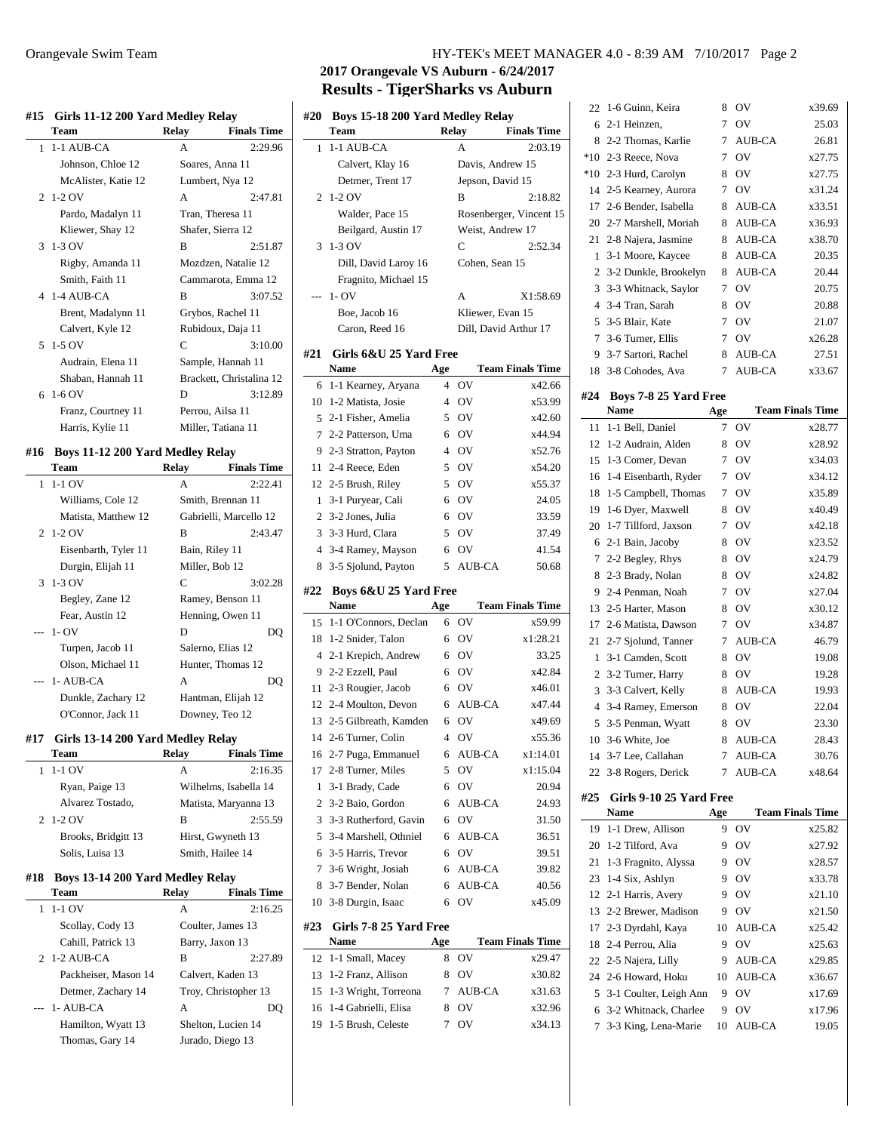| #15            | Girls 11-12 200 Yard Medley Relay |                   |                          |  |  |
|----------------|-----------------------------------|-------------------|--------------------------|--|--|
|                | Team                              | Relay             | <b>Finals Time</b>       |  |  |
| 1              | 1-1 AUB-CA                        | A                 | 2:29.96                  |  |  |
|                | Johnson, Chloe 12                 | Soares, Anna 11   |                          |  |  |
|                | McAlister, Katie 12               | Lumbert, Nya 12   |                          |  |  |
| 2              | $1-2$ OV                          | A                 | 2:47.81                  |  |  |
|                | Pardo, Madalyn 11                 | Tran. Theresa 11  |                          |  |  |
|                | Kliewer, Shay 12                  | Shafer, Sierra 12 |                          |  |  |
| 3              | 1-3 OV                            | B                 | 2:51.87                  |  |  |
|                | Rigby, Amanda 11                  |                   | Mozdzen, Natalie 12      |  |  |
|                | Smith, Faith 11                   |                   | Cammarota, Emma 12       |  |  |
| 4              | 1-4 AUB-CA                        | B                 | 3:07.52                  |  |  |
|                | Brent, Madalynn 11                |                   | Grybos, Rachel 11        |  |  |
|                | Calvert, Kyle 12                  |                   | Rubidoux, Daja 11        |  |  |
| 5              | $1-5$ OV                          | C                 | 3:10.00                  |  |  |
|                | Audrain, Elena 11                 |                   | Sample, Hannah 11        |  |  |
|                | Shaban, Hannah 11                 |                   | Brackett, Christalina 12 |  |  |
| 6              | $1-6$ OV                          | D                 | 3:12.89                  |  |  |
|                | Franz, Courtney 11                | Perrou, Ailsa 11  |                          |  |  |
|                | Harris, Kylie 11                  |                   | Miller, Tatiana 11       |  |  |
| #16            | Boys 11-12 200 Yard Medley Relay  |                   |                          |  |  |
|                | Team                              | Relay             | <b>Finals Time</b>       |  |  |
| 1              | $1-1$ OV                          | A                 | 2:22.41                  |  |  |
|                | Williams, Cole 12                 |                   | Smith, Brennan 11        |  |  |
|                | Matista, Matthew 12               |                   | Gabrielli, Marcello 12   |  |  |
| $\mathfrak{D}$ | 1-2 OV                            | B                 | 2:43.47                  |  |  |
|                | Eisenbarth, Tyler 11              | Bain, Riley 11    |                          |  |  |
|                | Durgin, Elijah 11                 | Miller, Bob 12    |                          |  |  |
| 3              | 1-3 OV                            | C                 | 3:02.28                  |  |  |
|                | Begley, Zane 12                   |                   | Ramey, Benson 11         |  |  |
|                | Fear, Austin 12                   |                   | Henning, Owen 11         |  |  |
|                | $1 - OV$                          | D                 | DO                       |  |  |
|                | Turpen, Jacob 11                  | Salerno, Elias 12 |                          |  |  |
|                | Olson, Michael 11                 |                   | Hunter, Thomas 12        |  |  |
|                | 1-AUB-CA                          | A                 | DQ                       |  |  |
|                | Dunkle, Zachary 12                |                   | Hantman, Elijah 12       |  |  |

## **#17 Girls 13-14 200 Yard Medley Relay**

| Team                | Relay | <b>Finals Time</b>    |
|---------------------|-------|-----------------------|
| 1-1 OV              | A     | 2:16.35               |
| Ryan, Paige 13      |       | Wilhelms, Isabella 14 |
| Alvarez Tostado,    |       | Matista, Maryanna 13  |
| 2 1-2 $\text{OV}$   | в     | 2:55.59               |
| Brooks, Bridgitt 13 |       | Hirst, Gwyneth 13     |
| Solis, Luisa 13     |       | Smith, Hailee 14      |
|                     |       |                       |

O'Connor, Jack 11 Downey, Teo 12

#### **#18 Boys 13-14 200 Yard Medley Relay**

| <b>Team</b>          | Relay | <b>Finals Time</b>   |
|----------------------|-------|----------------------|
| $1-1$ OV             | A     | 2:16.25              |
| Scollay, Cody 13     |       | Coulter, James 13    |
| Cahill, Patrick 13   |       | Barry, Jaxon 13      |
| $2$ 1-2 AUB-CA       | в     | 2:27.89              |
| Packheiser, Mason 14 |       | Calvert, Kaden 13    |
| Detmer, Zachary 14   |       | Troy, Christopher 13 |
| $-$ 1- AUB-CA        | A     | DO)                  |
| Hamilton, Wyatt 13   |       | Shelton, Lucien 14   |
| Thomas, Gary 14      |       | Jurado, Diego 13     |

## Orangevale Swim Team HY-TEK's MEET MANAGER 4.0 - 8:39 AM 7/10/2017 Page 2

# **2017 Orangevale VS Auburn - 6/24/2017 Results - TigerSharks vs Auburn**

| #20            | Boys 15-18 200 Yard Medley Relay<br>Team<br><b>Relay</b><br><b>Finals Time</b> |        |                       |                         |
|----------------|--------------------------------------------------------------------------------|--------|-----------------------|-------------------------|
| 1              |                                                                                |        |                       | 2:03.19                 |
|                | 1-1 AUB-CA                                                                     |        | А                     |                         |
|                | Calvert, Klay 16                                                               |        | Davis, Andrew 15      |                         |
|                | Detmer, Trent 17                                                               |        | Jepson, David 15      |                         |
| $\overline{c}$ | $1-2$ OV                                                                       |        | B                     | 2:18.82                 |
|                | Walder, Pace 15                                                                |        |                       | Rosenberger, Vincent 15 |
|                | Beilgard, Austin 17                                                            |        | Weist, Andrew 17      |                         |
| 3              | 1-3 OV                                                                         |        | C                     | 2:52.34                 |
|                | Dill, David Laroy 16                                                           |        | Cohen, Sean 15        |                         |
|                | Fragnito, Michael 15                                                           |        |                       |                         |
| $---$          | $1 - OV$                                                                       |        | А                     | X1:58.69                |
|                | Boe, Jacob 16                                                                  |        | Kliewer, Evan 15      |                         |
|                | Caron, Reed 16                                                                 |        | Dill, David Arthur 17 |                         |
| #21            | Girls 6&U 25 Yard Free                                                         |        |                       |                         |
|                | Name                                                                           | Age    |                       | <b>Team Finals Time</b> |
| 6              | 1-1 Kearney, Aryana                                                            | 4      | OV                    | x42.66                  |
| 10             | 1-2 Matista, Josie                                                             | 4      | OV                    | x53.99                  |
| 5              | 2-1 Fisher, Amelia                                                             | 5      | OV                    | x42.60                  |
| 7              | 2-2 Patterson, Uma                                                             | 6      | OV                    | x44.94                  |
| 9              | 2-3 Stratton, Payton                                                           | 4      | OV                    | x52.76                  |
| 11             | 2-4 Reece, Eden                                                                | 5      | OV                    | x54.20                  |
| 12             | 2-5 Brush, Riley                                                               | 5      | OV                    | x55.37                  |
| 1              | 3-1 Puryear, Cali                                                              | 6      | OV                    | 24.05                   |
| 2              | 3-2 Jones, Julia                                                               | 6      | OV                    | 33.59                   |
| 3              | 3-3 Hurd, Clara                                                                | 5      | OV                    | 37.49                   |
| 4              | 3-4 Ramey, Mayson                                                              | 6      | OV                    | 41.54                   |
| 8              | 3-5 Sjolund, Payton                                                            | 5      | AUB-CA                | 50.68                   |
|                |                                                                                |        |                       |                         |
| #22            | <b>Boys 6&amp;U 25 Yard Free</b>                                               |        |                       |                         |
|                | <b>Name</b>                                                                    | Age    |                       | <b>Team Finals Time</b> |
| 15             | 1-1 O'Connors, Declan                                                          | 6      | ov                    | x59.99                  |
| 18             | 1-2 Snider, Talon                                                              | 6      | OV                    | x1:28.21                |
| 4              | 2-1 Krepich, Andrew                                                            | 6      | OV                    | 33.25                   |
| 9              | 2-2 Ezzell, Paul                                                               | 6      | OV                    | x42.84                  |
| 11             | 2-3 Rougier, Jacob                                                             | 6      | OV                    | x46.01                  |
|                | 12 2-4 Moulton, Devon                                                          | 6      | AUB-CA                | x47.44                  |
| 13             | 2-5 Gilbreath, Kamden                                                          | 6      | OV                    | x49.69                  |
| 14             | 2-6 Turner, Colin                                                              | 4      | OV                    | x55.36                  |
|                |                                                                                |        |                       |                         |
| 16<br>17       | 2-7 Puga, Emmanuel                                                             | 6<br>5 | AUB-CA<br>OV          | x1:14.01<br>x1:15.04    |
| 1              | 2-8 Turner, Miles<br>3-1 Brady, Cade                                           | 6      | OV                    | 20.94                   |
|                |                                                                                | 6      |                       |                         |
| 2              | 3-2 Baio, Gordon                                                               | 6      | <b>AUB-CA</b>         | 24.93                   |
| 3              | 3-3 Rutherford, Gavin                                                          |        | OV                    | 31.50                   |
| 5              | 3-4 Marshell, Othniel                                                          | 6      | AUB-CA                | 36.51                   |
| 6              | 3-5 Harris, Trevor                                                             | 6      | OV                    | 39.51                   |
| 7              | 3-6 Wright, Josiah                                                             | 6      | AUB-CA                | 39.82                   |
| 8<br>10        | 3-7 Bender, Nolan<br>3-8 Durgin, Isaac                                         | 6<br>6 | AUB-CA<br>OV          | 40.56                   |
|                |                                                                                |        |                       | x45.09                  |
| #23            | Girls 7-8 25 Yard Free<br>Name                                                 | Age    |                       | <b>Team Finals Time</b> |
| 12             | 1-1 Small, Macey                                                               | 8      | OV                    | x29.47                  |
| 13             | 1-2 Franz, Allison                                                             | 8      | OV                    | x30.82                  |
| 15             | 1-3 Wright, Torreona                                                           | 7      | AUB-CA                | x31.63                  |
| 16             | 1-4 Gabrielli, Elisa                                                           | 8      | OV                    | x32.96                  |
| 19             | 1-5 Brush, Celeste                                                             | 7      | OV                    | x34.13                  |

| 22             | 1-6 Guinn, Keira                            | 8   | OV            | x39.69                  |
|----------------|---------------------------------------------|-----|---------------|-------------------------|
| 6              | 2-1 Heinzen,                                | 7   | OV            | 25.03                   |
| 8              | 2-2 Thomas, Karlie                          | 7   | <b>AUB-CA</b> | 26.81                   |
| $*10$          | 2-3 Reece, Nova                             | 7   | OV            | x27.75                  |
| $*10$          | 2-3 Hurd, Carolyn                           | 8   | OV            | x27.75                  |
| 14             | 2-5 Kearney, Aurora                         | 7   | OV            | x31.24                  |
| 17             | 2-6 Bender, Isabella                        | 8   | AUB-CA        | x33.51                  |
| 20             | 2-7 Marshell, Moriah                        | 8   | AUB-CA        | x36.93                  |
| 21             | 2-8 Najera, Jasmine                         | 8   | AUB-CA        | x38.70                  |
| 1              | 3-1 Moore, Kaycee                           | 8   | <b>AUB-CA</b> | 20.35                   |
| 2              | 3-2 Dunkle, Brookelyn                       | 8   | <b>AUB-CA</b> | 20.44                   |
| 3              | 3-3 Whitnack, Saylor                        | 7   | OV            | 20.75                   |
| $\overline{4}$ | 3-4 Tran, Sarah                             | 8   | OV            | 20.88                   |
| 5              | 3-5 Blair, Kate                             | 7   | OV            | 21.07                   |
| 7              | 3-6 Turner, Ellis                           | 7   | OV            | x26.28                  |
| 9              | 3-7 Sartori, Rachel                         | 8   | AUB-CA        | 27.51                   |
| 18             | 3-8 Cohodes, Ava                            | 7   | AUB-CA        | x33.67                  |
|                |                                             |     |               |                         |
| #24            | <b>Boys 7-8 25 Yard Free</b><br><b>Name</b> | Age |               | <b>Team Finals Time</b> |
| 11             | 1-1 Bell, Daniel                            | 7   | OV            | x28.77                  |
| 12             | 1-2 Audrain, Alden                          | 8   | OV            | x28.92                  |
| 15             | 1-3 Comer, Devan                            | 7   | OV            | x34.03                  |
| 16             | 1-4 Eisenbarth, Ryder                       | 7   | OV            | x34.12                  |
| 18             | 1-5 Campbell, Thomas                        | 7   | OV            | x35.89                  |
| 19             | 1-6 Dyer, Maxwell                           | 8   | OV            | x40.49                  |
| 20             | 1-7 Tillford, Jaxson                        | 7   | OV            | x42.18                  |
| 6              | 2-1 Bain, Jacoby                            | 8   | OV            | x23.52                  |
| 7              | 2-2 Begley, Rhys                            | 8   | OV            | x24.79                  |
| 8              | 2-3 Brady, Nolan                            | 8   | OV            | x24.82                  |
| 9              | 2-4 Penman, Noah                            | 7   | OV            | x27.04                  |
| 13             | 2-5 Harter, Mason                           | 8   | OV            | x30.12                  |
| 17             | 2-6 Matista, Dawson                         | 7   | OV            | x34.87                  |
| 21             | 2-7 Sjolund, Tanner                         | 7   | AUB-CA        | 46.79                   |
| 1              | 3-1 Camden, Scott                           | 8   | OV            | 19.08                   |
| 2              | 3-2 Turner, Harry                           | 8   | OV            | 19.28                   |
| 3              | 3-3 Calvert, Kelly                          | 8   | <b>AUB-CA</b> | 19.93                   |
| 4              | 3-4 Ramey, Emerson                          | 8   | OV            | 22.04                   |
| 5              | 3-5 Penman, Wyatt                           | 8   | OV            | 23.30                   |
| 10             | 3-6 White, Joe                              |     | 8 AUB-CA      | 28.43                   |
| 14             | 3-7 Lee, Callahan                           | 7   | AUB-CA        | 30.76                   |
| 22             | 3-8 Rogers, Derick                          | 7   | AUB-CA        | x48.64                  |
|                |                                             |     |               |                         |
| #25            | Girls 9-10 25 Yard Free<br>Name             | Age |               | <b>Team Finals Time</b> |
| 19             | 1-1 Drew, Allison                           | 9   | OV            | x25.82                  |
| 20             | 1-2 Tilford, Ava                            | 9   | OV            | x27.92                  |
| 21             | 1-3 Fragnito, Alyssa                        | 9   | OV            | x28.57                  |
| 23             | 1-4 Six, Ashlyn                             | 9   | OV            | x33.78                  |
| 12             | 2-1 Harris, Avery                           | 9   | OV            | x21.10                  |
| 13             |                                             |     |               |                         |
|                | 2-2 Brewer, Madison                         | 9   | OV            | x21.50                  |
| 17             |                                             | 10  | AUB-CA        | x25.42                  |
| 18             | 2-3 Dyrdahl, Kaya<br>2-4 Perrou, Alia       | 9   | OV            | x25.63                  |
| 22             |                                             | 9   | AUB-CA        | x29.85                  |
| 24             | 2-5 Najera, Lilly<br>2-6 Howard, Hoku       | 10  | AUB-CA        | x36.67                  |
| 5              | 3-1 Coulter, Leigh Ann                      | 9   | OV            | x17.69                  |
| 6              | 3-2 Whitnack, Charlee                       | 9   | ov            | x17.96                  |
| 7              | 3-3 King, Lena-Marie                        | 10  | AUB-CA        | 19.05                   |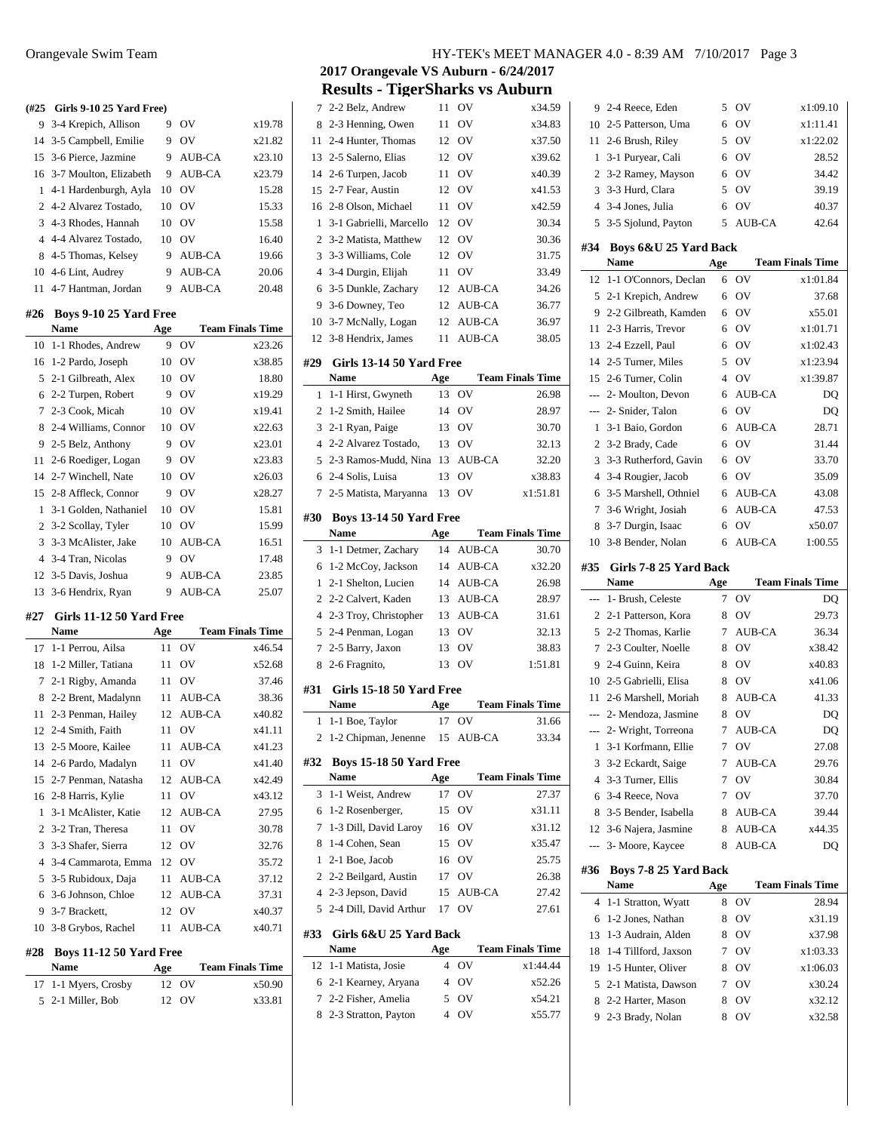**(#25 Girls 9-10 25 Yard Free)** 3-4 Krepich, Allison 9 OV x19.78 3-5 Campbell, Emilie 9 OV x21.82 3-6 Pierce, Jazmine 9 AUB-CA x23.10 3-7 Moulton, Elizabeth 9 AUB-CA x23.79 4-1 Hardenburgh, Ayla 10 OV 15.28 4-2 Alvarez Tostado, 10 OV 15.33 Mia 4-3 Rhodes, Hannah 10 OV 15.58 4-4 Alvarez Tostado, 10 OV 16.40 8 4-5 Thomas, Kelsey 9 AUB-CA 19.66 4-6 Lint, Audrey 9 AUB-CA 20.06 4-7 Hantman, Jordan 9 AUB-CA 20.48 **#26 Boys 9-10 25 Yard Free Name Age Team Finals Time** 1-1 Rhodes, Andrew 9 OV x23.26 1-2 Pardo, Joseph 10 OV x38.85 2-1 Gilbreath, Alex 10 OV 18.80 2-2 Turpen, Robert 9 OV x19.29 2-3 Cook, Micah 10 OV x19.41 2-4 Williams, Connor 10 OV x22.63 2-5 Belz, Anthony 9 OV x23.01 2-6 Roediger, Logan 9 OV x23.83 2-7 Winchell, Nate 10 OV x26.03 2-8 Affleck, Connor 9 OV x28.27 3-1 Golden, Nathaniel 10 OV 15.81 3-2 Scollay, Tyler 10 OV 15.99 3-3 McAlister, Jake 10 AUB-CA 16.51 3-4 Tran, Nicolas 9 OV 17.48 3-5 Davis, Joshua 9 AUB-CA 23.85 3-6 Hendrix, Ryan 9 AUB-CA 25.07 **#27 Girls 11-12 50 Yard Free Name Age Team Finals Time** 1-1 Perrou, Ailsa 11 OV x46.54 1-2 Miller, Tatiana 11 OV x52.68 2-1 Rigby, Amanda 11 OV 37.46 2-2 Brent, Madalynn 11 AUB-CA 38.36 2-3 Penman, Hailey 12 AUB-CA x40.82 2-4 Smith, Faith 11 OV x41.11 2-5 Moore, Kailee 11 AUB-CA x41.23 2-6 Pardo, Madalyn 11 OV x41.40 2-7 Penman, Natasha 12 AUB-CA x42.49 2-8 Harris, Kylie 11 OV x43.12 3-1 McAlister, Katie 12 AUB-CA 27.95 3-2 Tran, Theresa 11 OV 30.78 3-3 Shafer, Sierra 12 OV 32.76 3-4 Cammarota, Emma 12 OV 35.72 3-5 Rubidoux, Daja 11 AUB-CA 37.12 3-6 Johnson, Chloe 12 AUB-CA 37.31 3-7 Brackett, 12 OV x40.37 10 3-8 Grybos, Rachel 11 AUB-CA x40.71

#### **#28 Boys 11-12 50 Yard Free**

| <b>Name</b>          | Age   | <b>Team Finals Time</b> |
|----------------------|-------|-------------------------|
| 17 1-1 Myers, Crosby | 12 OV | x50.90                  |
| 5 2-1 Miller, Bob    | 12 OV | x33.81                  |

**2017 Orangevale VS Auburn - 6/24/2017 Results - TigerSharks vs Auburn**

| 7<br>8         |                                        |                |               |                         |
|----------------|----------------------------------------|----------------|---------------|-------------------------|
|                | 2-2 Belz, Andrew                       | 11             | OV            | x34.59                  |
|                | 2-3 Henning, Owen                      | 11             | OV            | x34.83                  |
| 11             | 2-4 Hunter, Thomas                     | 12             | OV            | x37.50                  |
| 13             | 2-5 Salerno, Elias                     | 12             | OV            | x39.62                  |
| 14             | 2-6 Turpen, Jacob                      | 11             | OV            | x40.39                  |
| 15             | 2-7 Fear, Austin                       | 12             | OV            | x41.53                  |
| 16             | 2-8 Olson, Michael                     | 11             | OV            | x42.59                  |
| 1              | 3-1 Gabrielli, Marcello                | 12             | OV            | 30.34                   |
| $\overline{2}$ | 3-2 Matista, Matthew                   | 12             | OV            | 30.36                   |
| 3              | 3-3 Williams, Cole                     | 12             | OV            | 31.75                   |
| $\overline{4}$ |                                        | 11             | OV            | 33.49                   |
|                | 3-4 Durgin, Elijah                     |                |               |                         |
| 6              | 3-5 Dunkle, Zachary                    | 12             | AUB-CA        | 34.26                   |
| 9              | 3-6 Downey, Teo                        | 12             | AUB-CA        | 36.77                   |
| 10             | 3-7 McNally, Logan                     | 12             | AUB-CA        | 36.97                   |
| 12             | 3-8 Hendrix, James                     | 11             | <b>AUB-CA</b> | 38.05                   |
| #29            | Girls 13-14 50 Yard Free               |                |               |                         |
|                | Name                                   | Age            |               | <b>Team Finals Time</b> |
| 1              | 1-1 Hirst, Gwyneth                     | 13             | ov            | 26.98                   |
| $\overline{2}$ | 1-2 Smith, Hailee                      | 14             | OV            | 28.97                   |
| 3              | 2-1 Ryan, Paige                        | 13             | OV            | 30.70                   |
| $\overline{4}$ | 2-2 Alvarez Tostado,                   | 13             | OV            | 32.13                   |
| 5              | 2-3 Ramos-Mudd, Nina                   | 13             | <b>AUB-CA</b> | 32.20                   |
| 6              | 2-4 Solis, Luisa                       | 13             | OV            | x38.83                  |
| 7              | 2-5 Matista, Maryanna                  | 13             | OV            | x1:51.81                |
|                |                                        |                |               |                         |
| #30            | <b>Boys 13-14 50 Yard Free</b>         |                |               |                         |
|                | <b>Name</b>                            | Age            |               | <b>Team Finals Time</b> |
| 3              | 1-1 Detmer, Zachary                    | 14             | AUB-CA        | 30.70                   |
| 6              | 1-2 McCoy, Jackson                     | 14             | AUB-CA        | x32.20                  |
| 1              | 2-1 Shelton, Lucien                    | 14             | AUB-CA        | 26.98                   |
|                |                                        |                |               |                         |
| $\overline{2}$ | 2-2 Calvert, Kaden                     | 13             | AUB-CA        | 28.97                   |
| $\overline{4}$ | 2-3 Troy, Christopher                  | 13             | AUB-CA        | 31.61                   |
| 5              | 2-4 Penman, Logan                      | 13             | OV            | 32.13                   |
| 7              | 2-5 Barry, Jaxon                       | 13             | OV            | 38.83                   |
| 8              | 2-6 Fragnito,                          | 13             | OV            | 1:51.81                 |
|                | Girls 15-18 50 Yard Free               |                |               |                         |
|                | <b>Name</b>                            | Age            |               | <b>Team Finals Time</b> |
| #31<br>1       | 1-1 Boe, Taylor                        | 17             | OV            | 31.66                   |
|                | 2 1-2 Chipman, Jenenne 15 AUB-CA       |                |               | 33.34                   |
|                |                                        |                |               |                         |
|                | <b>Boys 15-18 50 Yard Free</b><br>Name |                |               |                         |
|                |                                        | Age            |               | <b>Team Finals Time</b> |
| #32<br>3       | 1-1 Weist, Andrew                      | 17             | OV            | 27.37                   |
| 6              | 1-2 Rosenberger,                       | 15             | ov            | x31.11                  |
| 7              | 1-3 Dill, David Laroy                  | 16             | OV            | x31.12                  |
| 8              | 1-4 Cohen, Sean                        | 15             | <b>OV</b>     | x35.47                  |
| 1              | 2-1 Boe, Jacob                         | 16             | <b>OV</b>     | 25.75                   |
| 2              | 2-2 Beilgard, Austin                   | 17             | OV            | 26.38                   |
| 4              | 2-3 Jepson, David                      | 15             | AUB-CA        | 27.42                   |
| 5              | 2-4 Dill, David Arthur                 | 17             | OV            | 27.61                   |
| #33            | Girls 6&U 25 Yard Back                 |                |               |                         |
|                | Name                                   | Age            |               | <b>Team Finals Time</b> |
| 12             | 1-1 Matista, Josie                     | 4              | OV            | x1:44.44                |
| 6              | 2-1 Kearney, Aryana                    | $\overline{4}$ | OV            | x52.26                  |
| 7              | 2-2 Fisher, Amelia                     | 5              | OV            | x54.21                  |
| 8              | 2-3 Stratton, Payton                   | 4              | OV            | x55.77                  |

 $\overline{\phantom{0}}$ 

| 9                        | 2-4 Reece, Eden                           | 5              | OV            | x1:09.10                |
|--------------------------|-------------------------------------------|----------------|---------------|-------------------------|
| 10                       | 2-5 Patterson, Uma                        | 6              | OV            | x1:11.41                |
| 11                       | 2-6 Brush, Riley                          | 5.             | OV            | x1:22.02                |
| 1                        | 3-1 Puryear, Cali                         | 6              | OV            | 28.52                   |
| $\overline{c}$           | 3-2 Ramey, Mayson                         | 6              | OV            | 34.42                   |
| 3                        | 3-3 Hurd, Clara                           | 5              | OV            | 39.19                   |
| $\overline{4}$           | 3-4 Jones, Julia                          | 6              | OV            | 40.37                   |
| 5                        | 3-5 Sjolund, Payton                       | 5              | <b>AUB-CA</b> | 42.64                   |
|                          |                                           |                |               |                         |
| #34                      | Boys 6&U 25 Yard Back<br><b>Name</b>      |                |               |                         |
|                          |                                           | Age            |               | <b>Team Finals Time</b> |
| 12                       | 1-1 O'Connors, Declan                     | 6              | OV            | x1:01.84                |
| 5                        | 2-1 Krepich, Andrew                       | 6              | OV            | 37.68                   |
| 9                        | 2-2 Gilbreath, Kamden                     | 6              | OV            | x55.01                  |
| 11                       | 2-3 Harris, Trevor                        | 6              | OV            | x1:01.71                |
| 13                       | 2-4 Ezzell, Paul                          | 6              | OV            | x1:02.43                |
| 14                       | 2-5 Turner, Miles                         | 5              | OV            | x1:23.94                |
| 15                       | 2-6 Turner, Colin                         | $\overline{4}$ | OV            | x1:39.87                |
| ---                      | 2- Moulton, Devon                         | 6              | <b>AUB-CA</b> | DO                      |
| ---                      | 2- Snider, Talon                          | 6              | OV            | DQ                      |
| 1                        | 3-1 Baio, Gordon                          | 6              | <b>AUB-CA</b> | 28.71                   |
| $\overline{c}$           | 3-2 Brady, Cade                           | 6              | OV            | 31.44                   |
| 3                        | 3-3 Rutherford, Gavin                     | 6              | OV            | 33.70                   |
| $\overline{4}$           | 3-4 Rougier, Jacob                        | 6              | OV            | 35.09                   |
| 6                        | 3-5 Marshell, Othniel                     | 6              | AUB-CA        | 43.08                   |
| 7                        | 3-6 Wright, Josiah                        | 6              | <b>AUB-CA</b> | 47.53                   |
| 8                        | 3-7 Durgin, Isaac                         | 6              | OV            | x50.07                  |
| 10                       | 3-8 Bender, Nolan                         | 6              | <b>AUB-CA</b> | 1:00.55                 |
| #35                      | Girls 7-8 25 Yard Back                    |                |               |                         |
|                          |                                           |                |               |                         |
|                          | <b>Name</b>                               |                |               | <b>Team Finals Time</b> |
| $\overline{a}$           | 1- Brush, Celeste                         | Age<br>7       | OV            | DQ                      |
| 2                        |                                           | 8              | OV            |                         |
| 5                        | 2-1 Patterson, Kora<br>2-2 Thomas, Karlie | 7              | <b>AUB-CA</b> | 29.73<br>36.34          |
| 7                        |                                           | 8              |               |                         |
|                          | 2-3 Coulter, Noelle                       | 8              | OV            | x38.42                  |
| 9                        | 2-4 Guinn, Keira                          |                | OV            | x40.83                  |
| 11                       | 10 2-5 Gabrielli, Elisa                   | 8              | OV            | x41.06                  |
|                          | 2-6 Marshell, Moriah                      | 8              | AUB-CA        | 41.33                   |
|                          | --- 2- Mendoza, Jasmine                   | 8              | OV            | DQ                      |
| $\overline{\phantom{a}}$ | 2- Wright, Torreona                       | 7              | <b>AUB-CA</b> | DQ                      |
| 1                        | 3-1 Korfmann, Ellie                       | 7              | OV            | 27.08                   |
| 3                        | 3-2 Eckardt, Saige                        | 7              | AUB-CA        | 29.76                   |
| $\overline{4}$           | 3-3 Turner, Ellis                         | 7              | OV            | 30.84                   |
| 6                        | 3-4 Reece, Nova                           | 7              | OV            | 37.70                   |
| 8                        | 3-5 Bender, Isabella                      | 8              | <b>AUB-CA</b> | 39.44                   |
| 12                       | 3-6 Najera, Jasmine                       | 8              | AUB-CA        | x44.35                  |
| ---                      | 3- Moore, Kaycee                          | 8              | AUB-CA        | DQ                      |
| #36                      | Boys 7-8 25 Yard Back                     |                |               |                         |
|                          | Name                                      | Age            |               | <b>Team Finals Time</b> |
| 4                        | 1-1 Stratton, Wyatt                       | 8              | OV            | 28.94                   |
| 6                        | 1-2 Jones, Nathan                         | 8              | OV            | x31.19                  |
| 13                       | 1-3 Audrain, Alden                        | 8              | OV            | x37.98                  |
| 18                       | 1-4 Tillford, Jaxson                      | 7              | OV            | x1:03.33                |
| 19                       | 1-5 Hunter, Oliver                        | 8              | OV            | x1:06.03                |
| 5                        | 2-1 Matista, Dawson                       | 7              | OV            | x30.24                  |
| 8                        | 2-2 Harter, Mason                         | 8              | ov            | x32.12                  |
| 9                        | 2-3 Brady, Nolan                          | 8              | OV            | x32.58                  |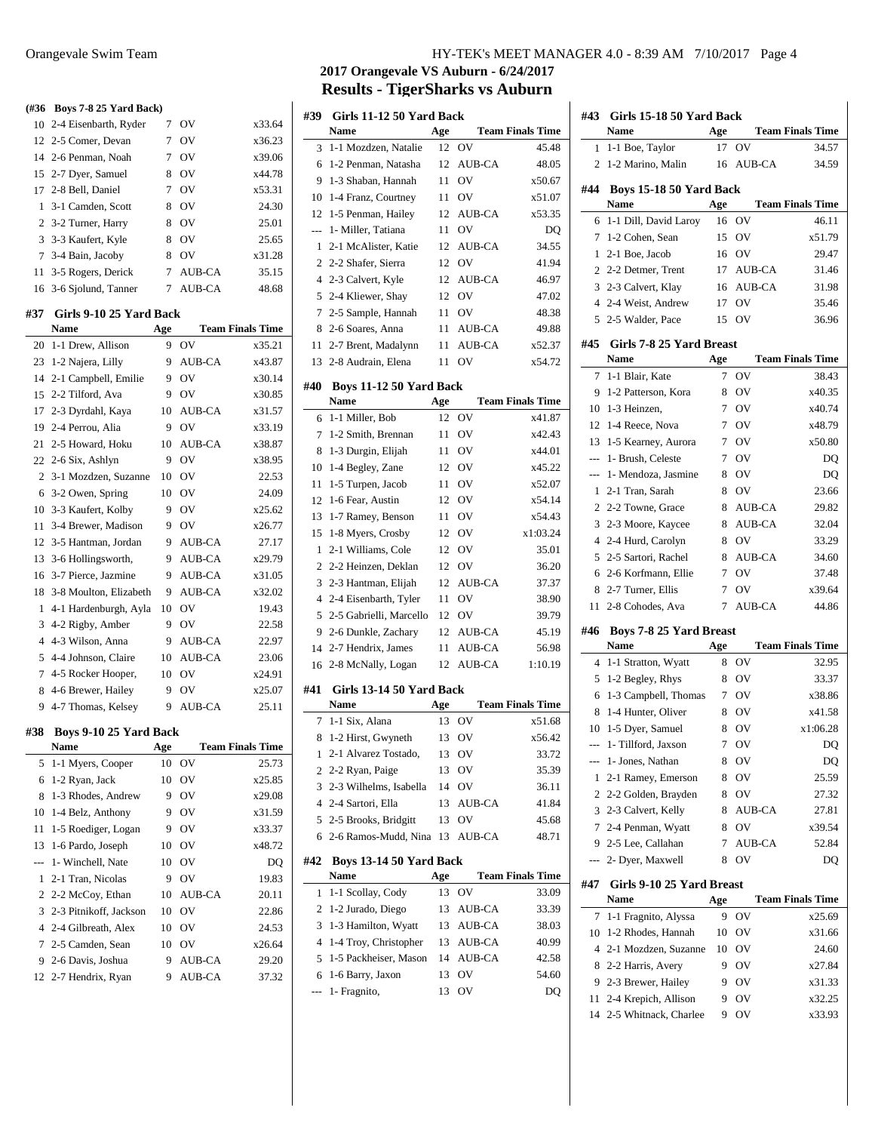| (#36 | Boys 7-8 25 Yard Back)          |     |           |                         |
|------|---------------------------------|-----|-----------|-------------------------|
| 10   | 2-4 Eisenbarth, Ryder           | 7   | <b>OV</b> | x33.64                  |
| 12   | 2-5 Comer, Devan                | 7   | <b>OV</b> | x36.23                  |
| 14   | 2-6 Penman, Noah                | 7   | OV        | x39.06                  |
| 15   | 2-7 Dyer, Samuel                | 8   | OV        | x44.78                  |
| 17   | 2-8 Bell, Daniel                | 7   | OV        | x53.31                  |
| 1    | 3-1 Camden, Scott               | 8   | <b>OV</b> | 24.30                   |
| 2    | 3-2 Turner, Harry               | 8   | OV        | 25.01                   |
| 3    | 3-3 Kaufert, Kyle               | 8   | OV        | 25.65                   |
| 7    | 3-4 Bain, Jacoby                | 8   | OV        | x31.28                  |
| 11   | 3-5 Rogers, Derick              | 7   | AUB-CA    | 35.15                   |
| 16   | 3-6 Sjolund, Tanner             | 7   | AUB-CA    | 48.68                   |
|      |                                 |     |           |                         |
| #37  | Girls 9-10 25 Yard Back<br>Name | Age |           | <b>Team Finals Time</b> |
| 20   |                                 | 9   | OV        | x35.21                  |
|      | 1-1 Drew, Allison               |     |           |                         |
|      | 23 1-2 Najera, Lilly            | 9   | AUB-CA    | x43.87                  |
| 14   | 2-1 Campbell, Emilie            | 9   | OV        | x30.14                  |
| 15   | 2-2 Tilford, Ava                | 9   | OV        | x30.85                  |
| 17   | 2-3 Dyrdahl, Kaya               | 10  | AUB-CA    | x31.57                  |
| 19   | 2-4 Perrou, Alia                | 9   | OV        | x33.19                  |
| 21   | 2-5 Howard, Hoku                | 10  | AUB-CA    | x38.87                  |
| 22   | 2-6 Six, Ashlyn                 | 9   | OV        | x38.95                  |
| 2    | 3-1 Mozdzen, Suzanne            | 10  | OV        | 22.53                   |
| 6    | 3-2 Owen, Spring                | 10  | OV        | 24.09                   |
| 10   | 3-3 Kaufert, Kolby              | 9   | OV        | x25.62                  |
| 11   | 3-4 Brewer, Madison             | 9   | OV        | x26.77                  |
| 12   | 3-5 Hantman, Jordan             | 9   | AUB-CA    | 27.17                   |
| 13   | 3-6 Hollingsworth,              | 9.  | AUB-CA    | x29.79                  |
| 16   | 3-7 Pierce, Jazmine             | 9   | AUB-CA    | x31.05                  |
| 18   | 3-8 Moulton, Elizabeth          | 9   | AUB-CA    | x32.02                  |
| 1    | 4-1 Hardenburgh, Ayla           | 10  | OV        | 19.43                   |
| 3    | 4-2 Rigby, Amber                | 9   | OV        | 22.58                   |
| 4    | 4-3 Wilson, Anna                | 9   | AUB-CA    | 22.97                   |
| 5    | 4-4 Johnson, Claire             | 10  | AUB-CA    | 23.06                   |
| 7    | 4-5 Rocker Hooper,              | 10  | OV        | x24.91                  |
| 8    | 4-6 Brewer, Hailey              | 9   | OV        | x25.07                  |
| 9    | 4-7 Thomas, Kelsey              | 9   | AUB-CA    | 25.11                   |
| #38  | Boys 9-10 25 Yard Back          |     |           |                         |
|      | Name                            | Age |           | <b>Team Finals Time</b> |
| 5    | 1-1 Myers, Cooper               | 10  | ov        | 25.73                   |
| 6    | 1-2 Ryan, Jack                  | 10  | OV        | x25.85                  |
| 8    | 1-3 Rhodes, Andrew              | 9   | OV        | x29.08                  |
| 10   | 1-4 Belz, Anthony               | 9   | OV        | x31.59                  |
| 11   | 1-5 Roediger, Logan             | 9   | OV        | x33.37                  |
| 13   | 1-6 Pardo, Joseph               | 10  | OV        | x48.72                  |
|      | 1- Winchell, Nate               | 10  | OV        | DQ                      |
| 1    | 2-1 Tran, Nicolas               | 9   | OV        | 19.83                   |
| 2    | 2-2 McCoy, Ethan                | 10  | AUB-CA    | 20.11                   |
| 3    | 2-3 Pitnikoff, Jackson          | 10  | OV        | 22.86                   |
| 4    | 2-4 Gilbreath, Alex             | 10  | ov        | 24.53                   |
| 7    | 2-5 Camden, Sean                | 10  | ov        | x26.64                  |
| 9    | 2-6 Davis, Joshua               | 9   | AUB-CA    | 29.20                   |
|      |                                 |     |           |                         |

2-7 Hendrix, Ryan 9 AUB-CA 37.32

## Orangevale Swim Team HY-TEK's MEET MANAGER 4.0 - 8:39 AM 7/10/2017 Page 4

## **2017 Orangevale VS Auburn - 6/24/2017 Results - TigerSharks vs Auburn**

| #39            | Girls 11-12 50 Yard Back |     |               |                         |
|----------------|--------------------------|-----|---------------|-------------------------|
|                | Name                     | Age |               | <b>Team Finals Time</b> |
| 3              | 1-1 Mozdzen, Natalie     | 12  | OV            | 45.48                   |
| 6              | 1-2 Penman, Natasha      | 12  | AUB-CA        | 48.05                   |
| 9              | 1-3 Shaban, Hannah       | 11  | OV            | x50.67                  |
| 10             | 1-4 Franz, Courtney      | 11  | OV            | x51.07                  |
| 12             | 1-5 Penman, Hailey       | 12  | <b>AUB-CA</b> | x53.35                  |
| ---            | 1- Miller, Tatiana       | 11  | OV            | DQ                      |
| 1              | 2-1 McAlister, Katie     | 12  | AUB-CA        | 34.55                   |
| $\overline{2}$ | 2-2 Shafer, Sierra       | 12  | OV            | 41.94                   |
| $\overline{4}$ | 2-3 Calvert, Kyle        | 12  | <b>AUB-CA</b> | 46.97                   |
| 5              | 2-4 Kliewer, Shay        | 12  | OV            | 47.02                   |
| 7              | 2-5 Sample, Hannah       | 11  | OV            | 48.38                   |
| 8              | 2-6 Soares, Anna         | 11  | AUB-CA        | 49.88                   |
| 11             | 2-7 Brent, Madalynn      | 11  | AUB-CA        | x52.37                  |
| 13             | 2-8 Audrain, Elena       | 11  | OV            | x54.72                  |
| #40            | Boys 11-12 50 Yard Back  |     |               |                         |
|                | <b>Name</b>              | Age |               | <b>Team Finals Time</b> |
| 6              | 1-1 Miller, Bob          | 12  | ov            | x41.87                  |
| 7              | 1-2 Smith, Brennan       | 11  | OV            | x42.43                  |
| 8              | 1-3 Durgin, Elijah       | 11  | OV            | x44.01                  |
| 10             | 1-4 Begley, Zane         | 12  | OV            | x45.22                  |
| 11             | 1-5 Turpen, Jacob        | 11  | OV            | x52.07                  |
| 12             | 1-6 Fear, Austin         | 12  | OV            | x54.14                  |
| 13             | 1-7 Ramey, Benson        | 11  | OV            | x54.43                  |
| 15             | 1-8 Myers, Crosby        | 12  | OV            | x1:03.24                |
| $\mathbf{1}$   | 2-1 Williams, Cole       | 12  | OV            | 35.01                   |
| 2              | 2-2 Heinzen, Deklan      | 12  | OV            | 36.20                   |
| 3              | 2-3 Hantman, Elijah      | 12  | <b>AUB-CA</b> | 37.37                   |
| $\overline{4}$ | 2-4 Eisenbarth, Tyler    | 11  | OV            | 38.90                   |
| 5              | 2-5 Gabrielli, Marcello  | 12  | OV            | 39.79                   |
| 9              | 2-6 Dunkle, Zachary      | 12  | AUB-CA        | 45.19                   |
| 14             | 2-7 Hendrix, James       | 11  | AUB-CA        | 56.98                   |
| 16             | 2-8 McNally, Logan       | 12  | AUB-CA        | 1:10.19                 |
|                |                          |     |               |                         |
| #41            | Girls 13-14 50 Yard Back |     |               |                         |
|                | <b>Name</b>              | Age |               | <b>Team Finals Time</b> |
| 7              | 1-1 Six, Alana           | 13  | OV            | x51.68                  |
| 8              | 1-2 Hirst, Gwyneth       | 13  | OV            | x56.42                  |
|                | 1 2-1 Alvarez Tostado,   |     | 13 OV         | 33.72                   |
| 2              | 2-2 Ryan, Paige          | 13  | OV            | 35.39                   |
| 3              | 2-3 Wilhelms, Isabella   | 14  | OV            | 36.11                   |
| 4              | 2-4 Sartori, Ella        | 13  | AUB-CA        | 41.84                   |
| 5              | 2-5 Brooks, Bridgitt     | 13  | OV            | 45.68                   |
| 6              | 2-6 Ramos-Mudd, Nina     | 13  | AUB-CA        | 48.71                   |
| #42            | Boys 13-14 50 Yard Back  |     |               |                         |
|                | Name                     | Age |               | <b>Team Finals Time</b> |
| 1              | 1-1 Scollay, Cody        | 13  | OV            | 33.09                   |
| 2              | 1-2 Jurado, Diego        | 13  | AUB-CA        | 33.39                   |
| 3              | 1-3 Hamilton, Wyatt      | 13  | AUB-CA        | 38.03                   |
| 4              | 1-4 Troy, Christopher    | 13  | AUB-CA        | 40.99                   |
| 5              | 1-5 Packheiser, Mason    | 14  | AUB-CA        | 42.58                   |
| 6              | 1-6 Barry, Jaxon         | 13  | OV            | 54.60                   |
| ---            | 1- Fragnito,             | 13  | ov            | DQ                      |
|                |                          |     |               |                         |

| #43   | Girls 15-18 50 Yard Back<br>Name       | Age    |                  | <b>Team Finals Time</b> |
|-------|----------------------------------------|--------|------------------|-------------------------|
| 1     | 1-1 Boe, Taylor                        | 17     | OV               | 34.57                   |
| 2     | 1-2 Marino, Malin                      | 16     | AUB-CA           | 34.59                   |
| #44   | Boys 15-18 50 Yard Back                |        |                  |                         |
|       | Name                                   | Age    |                  | <b>Team Finals Time</b> |
| 6     | 1-1 Dill, David Laroy                  | 16     | OV               | 46.11                   |
| 7     | 1-2 Cohen, Sean                        | 15     | OV               | x51.79                  |
| 1     | 2-1 Boe, Jacob                         | 16     | OV               | 29.47                   |
| 2     | 2-2 Detmer, Trent                      | 17     | AUB-CA           | 31.46                   |
| 3     | 2-3 Calvert, Klay                      | 16     | AUB-CA           | 31.98                   |
|       | 4 2-4 Weist, Andrew                    | 17     | OV               | 35.46                   |
| 5     | 2-5 Walder, Pace                       | 15     | OV               | 36.96                   |
| #45   | Girls 7-8 25 Yard Breast<br>Name       | Age    |                  | <b>Team Finals Time</b> |
| 7     | 1-1 Blair, Kate                        | 7      | OV               | 38.43                   |
| 9     | 1-2 Patterson, Kora                    | 8      | OV               | x40.35                  |
| 10    | 1-3 Heinzen,                           | 7      | OV               | x40.74                  |
| 12    | 1-4 Reece, Nova                        | 7      | OV               | x48.79                  |
| 13    | 1-5 Kearney, Aurora                    | 7      | OV               | x50.80                  |
| $---$ | 1- Brush, Celeste                      | 7      | OV               | DQ                      |
| ---   | 1- Mendoza, Jasmine                    | 8      | OV               | DQ                      |
| 1     | 2-1 Tran, Sarah                        | 8      | OV               | 23.66                   |
| 2     | 2-2 Towne, Grace                       | 8      |                  |                         |
| 3     | 2-3 Moore, Kaycee                      | 8      | AUB-CA<br>AUB-CA | 29.82<br>32.04          |
| 4     | 2-4 Hurd, Carolyn                      | 8      | OV               | 33.29                   |
| 5     | 2-5 Sartori, Rachel                    |        | AUB-CA           |                         |
|       | 2-6 Korfmann, Ellie                    | 8<br>7 | OV               | 34.60<br>37.48          |
| 6     |                                        |        | OV               |                         |
| 8     | 2-7 Turner, Ellis                      | 7<br>7 | <b>AUB-CA</b>    | x39.64                  |
| 11    | 2-8 Cohodes, Ava                       |        |                  | 44.86                   |
| #46   | <b>Boys 7-8 25 Yard Breast</b><br>Name | Age    |                  | <b>Team Finals Time</b> |
| 4     | 1-1 Stratton, Wyatt                    | 8      | OV               | 32.95                   |
| 5     | 1-2 Begley, Rhys                       | 8      | OV               | 33.37                   |
| 6     | 1-3 Campbell, Thomas                   | 7      | OV               | x38.86                  |
| 8     | 1-4 Hunter, Oliver                     | 8      | OV               | x41.58                  |
| 10    | 1-5 Dyer, Samuel                       | 8      | OV               | x1:06.28                |
|       | 1- Tillford, Jaxson                    |        | 7 OV             | DQ                      |
| ---   | 1- Jones, Nathan                       | 8      | OV               | DQ                      |
| 1     | 2-1 Ramey, Emerson                     | 8      | ov               | 25.59                   |
| 2     | 2-2 Golden, Brayden                    | 8      | OV               | 27.32                   |
| 3     | 2-3 Calvert, Kelly                     | 8      | AUB-CA           | 27.81                   |
| 7     | 2-4 Penman, Wyatt                      | 8      | OV               | x39.54                  |
| 9     | 2-5 Lee, Callahan                      | 7      | AUB-CA           | 52.84                   |
| ---   | 2- Dyer, Maxwell                       | 8      | OV               | DQ                      |
| #47   | Girls 9-10 25 Yard Breast<br>Name      | Age    |                  | <b>Team Finals Time</b> |
| 7     | 1-1 Fragnito, Alyssa                   | 9      | ov               | x25.69                  |
| 10    | 1-2 Rhodes, Hannah                     | 10     | OV               | x31.66                  |
| 4     | 2-1 Mozdzen, Suzanne                   | 10     | OV               | 24.60                   |
| 8     | 2-2 Harris, Avery                      | 9      | OV               | x27.84                  |
| 9     | 2-3 Brewer, Hailey                     | 9      | ov               | x31.33                  |
| 11    | 2-4 Krepich, Allison                   | 9      | ov               | x32.25                  |
| 14    | 2-5 Whitnack, Charlee                  | 9      | ov               | x33.93                  |
|       |                                        |        |                  |                         |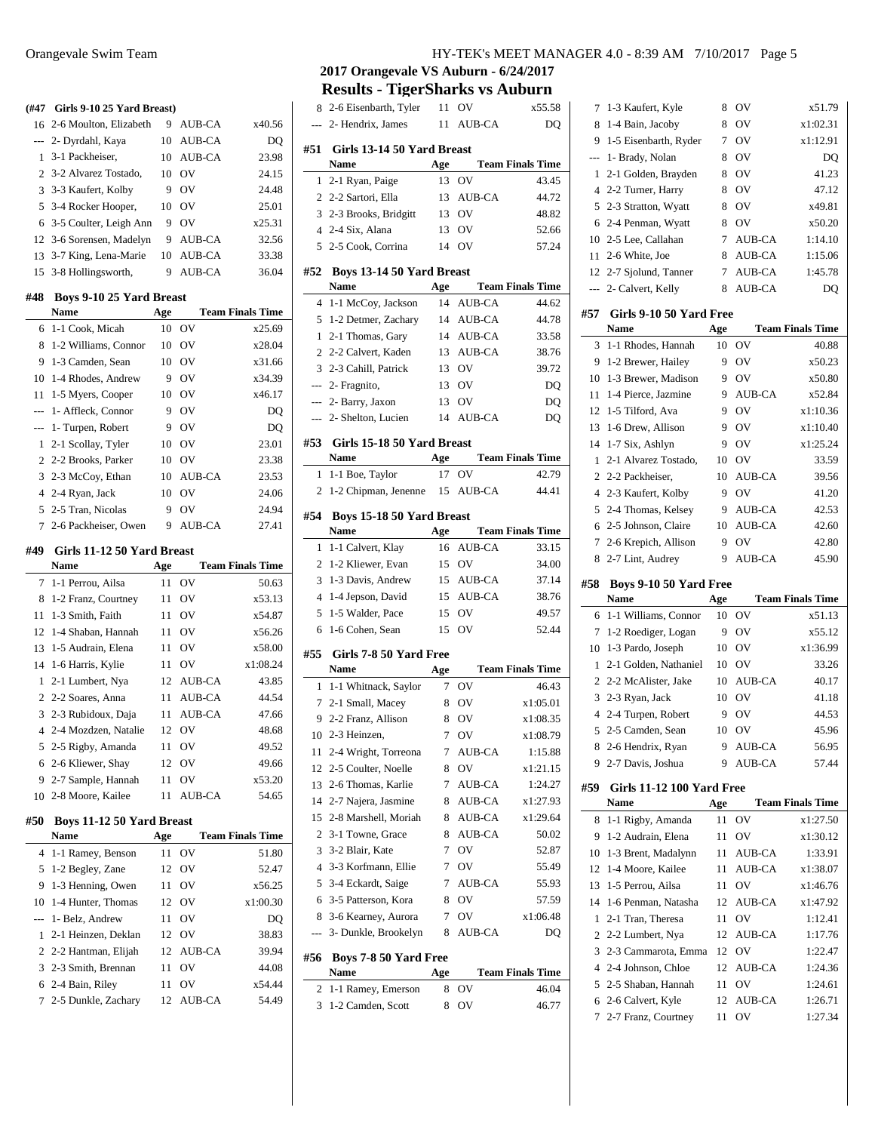## **(#47 Girls 9-10 25 Yard Breast)** 2-6 Moulton, Elizabeth 9 AUB-CA x40.56 --- 2- Dyrdahl, Kaya 10 AUB-CA DQ 3-1 Packheiser, 10 AUB-CA 23.98 2 3-2 Alvarez Tostado, 10 OV 24.15 3 3-3 Kaufert, Kolby 9 OV 24.48 3-4 Rocker Hooper, 10 OV 25.01 6 3-5 Coulter, Leigh Ann 9 OV  $x25.31$  3-6 Sorensen, Madelyn 9 AUB-CA 32.56 3-7 King, Lena-Marie 10 AUB-CA 33.38 3-8 Hollingsworth, 9 AUB-CA 36.04 **#48 Boys 9-10 25 Yard Breast Name Age Team Finals Time** 1-1 Cook, Micah 10 OV x25.69 1-2 Williams, Connor 10 OV x28.04 1-3 Camden, Sean 10 OV x31.66 1-4 Rhodes, Andrew 9 OV x34.39 1-5 Myers, Cooper 10 OV x46.17 --- 1- Affleck, Connor 9 OV DQ --- 1- Turpen, Robert 9 OV DQ 2-1 Scollay, Tyler 10 OV 23.01 2-2 Brooks, Parker 10 OV 23.38 2-3 McCoy, Ethan 10 AUB-CA 23.53 2-4 Ryan, Jack 10 OV 24.06 2-5 Tran, Nicolas 9 OV 24.94 2-6 Packheiser, Owen 9 AUB-CA 27.41 **#49 Girls 11-12 50 Yard Breast Name Age Team Finals Time** 1-1 Perrou, Ailsa 11 OV 50.63 1-2 Franz, Courtney 11 OV x53.13 1-3 Smith, Faith 11 OV x54.87

| Name                          | Age |                | <b>Team Finals Time</b> |
|-------------------------------|-----|----------------|-------------------------|
| #50 Boys 11-12 50 Yard Breast |     |                |                         |
| 10 2-8 Moore, Kailee          |     | 11 AUB-CA      | 54.65                   |
| 9 2-7 Sample, Hannah          |     | 11 OV          | x53.20                  |
| 6 2-6 Kliewer, Shay           |     | 12 OV          | 49.66                   |
| 5 2-5 Rigby, Amanda           |     | 11 OV          | 49.52                   |
| 4 2-4 Mozdzen, Natalie        |     | 12 OV          | 48.68                   |
| 3 2-3 Rubidoux, Daja          |     | 11 AUB-CA      | 47.66                   |
| 2 2-2 Soares, Anna            |     | 11 AUB-CA      | 44.54                   |
| 1 2-1 Lumbert, Nya            |     | 12 AUB-CA      | 43.85                   |
| 14 1-6 Harris, Kylie          |     | 11 OV          | x1:08.24                |
| 13 1-5 Audrain, Elena         |     | 11 OV          | x58.00                  |
| 12 1-4 Shaban, Hannah         | 11  | O <sub>V</sub> | x56.26                  |
|                               |     |                |                         |

|                       | $-1$ |                | 1 vulli 1 illul. 1 illil |
|-----------------------|------|----------------|--------------------------|
| 4 1-1 Ramey, Benson   | 11   | O <sub>V</sub> | 51.80                    |
| 5 1-2 Begley, Zane    | 12   | O <sub>V</sub> | 52.47                    |
| 9 1-3 Henning, Owen   | 11   | OV             | x56.25                   |
| 10 1-4 Hunter, Thomas |      | 12 OV          | x1:00.30                 |
| --- 1- Belz, Andrew   | 11   | OV             | DO                       |
| 1 2-1 Heinzen, Deklan |      | 12 OV          | 38.83                    |
| 2 2-2 Hantman, Elijah |      | 12 AUB-CA      | 39.94                    |
| 3 2-3 Smith, Brennan  | 11   | OV             | 44.08                    |
| 6 2-4 Bain, Riley     | 11   | OV             | x54.44                   |
| 7 2-5 Dunkle, Zachary |      | 12 AUB-CA      | 54.49                    |
|                       |      |                |                          |

## Orangevale Swim Team HY-TEK's MEET MANAGER 4.0 - 8:39 AM 7/10/2017 Page 5

 $\overline{a}$ 

 $\overline{\phantom{a}}$ 

**2017 Orangevale VS Auburn - 6/24/2017 Results - TigerSharks vs Auburn**

|                | Results - Tigel Shal KS VS Aubul II |     |                |                         |
|----------------|-------------------------------------|-----|----------------|-------------------------|
| 8              | 2-6 Eisenbarth, Tyler               | 11  | OV             | x55.58                  |
| ---            | 2- Hendrix, James                   | 11  | AUB-CA         | DO                      |
| #51            | Girls 13-14 50 Yard Breast          |     |                |                         |
|                | Name                                | Age |                | <b>Team Finals Time</b> |
| 1              | 2-1 Ryan, Paige                     | 13  | OV             | 43.45                   |
| $\overline{2}$ | 2-2 Sartori, Ella                   | 13  | AUB-CA         | 44.72                   |
|                | 3 2-3 Brooks, Bridgitt              | 13  | OV             | 48.82                   |
|                | 4 2-4 Six, Alana                    | 13  | OV             | 52.66                   |
| 5              | 2-5 Cook, Corrina                   | 14  | O <sub>V</sub> | 57.24                   |
| #52            | Boys 13-14 50 Yard Breast           |     |                |                         |
|                | <b>Name</b>                         | Age |                | <b>Team Finals Time</b> |
| 4              | 1-1 McCoy, Jackson                  | 14  | <b>AUB-CA</b>  | 44.62                   |
| 5              | 1-2 Detmer, Zachary                 |     | 14 AUB-CA      | 44.78                   |
| 1              | 2-1 Thomas, Gary                    |     | 14 AUB-CA      | 33.58                   |
| 2              | 2-2 Calvert, Kaden                  |     | 13 AUB-CA      | 38.76                   |
| 3              | 2-3 Cahill, Patrick                 | 13  | OV             | 39.72                   |
|                | --- 2- Fragnito,                    | 13  | OV             | DQ                      |
|                | --- 2- Barry, Jaxon                 | 13  | OV             | DQ                      |
| ---            | 2- Shelton, Lucien                  | 14  | <b>AUB-CA</b>  | DQ                      |
|                |                                     |     |                |                         |
| #53            | Girls 15-18 50 Yard Breast          |     |                |                         |
|                | <b>Name</b>                         | Age |                | <b>Team Finals Time</b> |
| 1              | 1-1 Boe, Taylor                     | 17  | OV             | 42.79                   |
| 2              | 1-2 Chipman, Jenenne                | 15  | AUB-CA         | 44.41                   |
| #54            | Boys 15-18 50 Yard Breast           |     |                |                         |
|                | Name                                | Age |                | <b>Team Finals Time</b> |
| 1              | 1-1 Calvert, Klay                   | 16  | <b>AUB-CA</b>  | 33.15                   |
| $\overline{2}$ | 1-2 Kliewer, Evan                   | 15  | OV             | 34.00                   |
| 3              | 1-3 Davis, Andrew                   | 15  | AUB-CA         | 37.14                   |
| $\overline{4}$ | 1-4 Jepson, David                   | 15  | AUB-CA         | 38.76                   |
| 5              | 1-5 Walder, Pace                    | 15  | OV             | 49.57                   |
| 6              | 1-6 Cohen, Sean                     | 15  | OV             | 52.44                   |
|                |                                     |     |                |                         |
| #55            | Girls 7-8 50 Yard Free              |     |                |                         |
|                | Name                                | Age |                | <b>Team Finals Time</b> |
| 1              | 1-1 Whitnack, Saylor                | 7   | OV             | 46.43                   |
| 7              | 2-1 Small, Macey                    | 8   | OV             | x1:05.01                |
| 9              | 2-2 Franz, Allison                  | 8   | OV             | x1:08.35                |
| 10             | 2-3 Heinzen,                        | 7   | OV             | x1:08.79                |
| 11             | 2-4 Wright, Torreona                | 7   | <b>AUB-CA</b>  | 1:15.88                 |
| 12             | 2-5 Coulter, Noelle                 | 8   | OV             | x1:21.15                |
| 13             | 2-6 Thomas, Karlie                  | 7   | AUB-CA         | 1:24.27                 |
| 14             | 2-7 Najera, Jasmine                 | 8   | AUB-CA         | x1:27.93                |
| 15             | 2-8 Marshell, Moriah                | 8   | AUB-CA         | x1:29.64                |
| 2              | 3-1 Towne, Grace                    | 8   | AUB-CA         | 50.02                   |
| 3              | 3-2 Blair, Kate                     | 7   | OV             | 52.87                   |
| $\overline{4}$ | 3-3 Korfmann, Ellie                 | 7   | OV             | 55.49                   |
| 5              | 3-4 Eckardt, Saige                  | 7   | AUB-CA         | 55.93                   |
| 6              | 3-5 Patterson, Kora                 | 8   | OV             | 57.59                   |
| 8              | 3-6 Kearney, Aurora                 | 7   | ov             | x1:06.48                |
| $\overline{a}$ | 3- Dunkle, Brookelyn                | 8   | AUB-CA         | DQ                      |
| #56            | Boys 7-8 50 Yard Free               |     |                |                         |
|                | Name                                | Age |                | <b>Team Finals Time</b> |
| 2              | 1-1 Ramey, Emerson                  | 8   | OV             | 46.04                   |
| 3              | 1-2 Camden, Scott                   | 8   | OV             | 46.77                   |

| 7              | 1-3 Kaufert, Kyle             | 8   | OV            | x51.79                  |
|----------------|-------------------------------|-----|---------------|-------------------------|
| 8              | 1-4 Bain, Jacoby              | 8   | OV            | x1:02.31                |
| 9              | 1-5 Eisenbarth, Ryder         | 7   | OV            | x1:12.91                |
| ---            | 1- Brady, Nolan               | 8   | OV            | DQ                      |
| 1              | 2-1 Golden, Brayden           | 8   | OV            | 41.23                   |
| $\overline{4}$ | 2-2 Turner, Harry             | 8   | OV            | 47.12                   |
| 5              | 2-3 Stratton, Wyatt           | 8   | OV            | x49.81                  |
| 6              | 2-4 Penman, Wyatt             | 8   | OV            | x50.20                  |
| 10             | 2-5 Lee, Callahan             | 7   | <b>AUB-CA</b> | 1:14.10                 |
| 11             | 2-6 White, Joe                | 8   | AUB-CA        | 1:15.06                 |
| 12             | 2-7 Sjolund, Tanner           | 7   | <b>AUB-CA</b> | 1:45.78                 |
| ---            | 2- Calvert, Kelly             | 8   | <b>AUB-CA</b> | DQ                      |
| #57            | Girls 9-10 50 Yard Free       |     |               |                         |
|                | Name                          | Age |               | <b>Team Finals Time</b> |
| 3              | 1-1 Rhodes, Hannah            | 10  | OV            | 40.88                   |
| 9              | 1-2 Brewer, Hailey            | 9   | OV            | x50.23                  |
| 10             | 1-3 Brewer, Madison           | 9   | OV            | x50.80                  |
| 11             | 1-4 Pierce, Jazmine           | 9   | <b>AUB-CA</b> | x52.84                  |
| 12             | 1-5 Tilford, Ava              | 9   | OV            | x1:10.36                |
| 13             | 1-6 Drew, Allison             | 9   | OV            | x1:10.40                |
| 14             | 1-7 Six, Ashlyn               | 9   | OV            | x1:25.24                |
| 1              | 2-1 Alvarez Tostado,          | 10  | OV            | 33.59                   |
| $\overline{c}$ | 2-2 Packheiser,               | 10  | <b>AUB-CA</b> | 39.56                   |
| $\overline{4}$ | 2-3 Kaufert, Kolby            | 9   | OV            | 41.20                   |
| 5              | 2-4 Thomas, Kelsey            | 9   | <b>AUB-CA</b> | 42.53                   |
| 6              | 2-5 Johnson, Claire           | 10  | <b>AUB-CA</b> | 42.60                   |
| 7              | 2-6 Krepich, Allison          | 9   | OV            | 42.80                   |
| 8              | 2-7 Lint, Audrey              | 9   | <b>AUB-CA</b> | 45.90                   |
|                |                               |     |               |                         |
| #58            | <b>Boys 9-10 50 Yard Free</b> |     |               |                         |
|                | Name                          | Age |               | <b>Team Finals Time</b> |
| 6              | 1-1 Williams, Connor          | 10  | OV            | x51.13                  |
| 7              | 1-2 Roediger, Logan           | 9   | OV            | x55.12                  |
| 10             | 1-3 Pardo, Joseph             | 10  | OV            | x1:36.99                |
| 1              | 2-1 Golden, Nathaniel         | 10  | OV            | 33.26                   |
| $\overline{c}$ | 2-2 McAlister, Jake           | 10  | <b>AUB-CA</b> | 40.17                   |
| 3              | 2-3 Ryan, Jack                | 10  | OV            | 41.18                   |
| $\overline{4}$ | 2-4 Turpen, Robert            | 9   | OV            | 44.53                   |
| 5              | 2-5 Camden, Sean              | 10  | OV            | 45.96                   |
| 8              | 2-6 Hendrix, Ryan             | 9   | AUB-CA        | 56.95                   |
| 9              | 2-7 Davis, Joshua             | 9   | <b>AUB-CA</b> | 57.44                   |
|                | Girls 11-12 100 Yard Free     |     |               |                         |
|                | Name                          | Age |               | <b>Team Finals Time</b> |
| 8              | 1-1 Rigby, Amanda             | 11  | OV            | x1:27.50                |
| #59<br>9       | 1-2 Audrain, Elena            | 11  | OV            | x1:30.12                |
| 10             | 1-3 Brent, Madalynn           | 11  | AUB-CA        | 1:33.91                 |
| 12             | 1-4 Moore, Kailee             | 11  | AUB-CA        | x1:38.07                |
| 13             | 1-5 Perrou, Ailsa             | 11  | OV            | x1:46.76                |
| 14             | 1-6 Penman, Natasha           | 12  | AUB-CA        | x1:47.92                |
| 1              | 2-1 Tran. Theresa             | 11  | OV            | 1:12.41                 |
| 2              | 2-2 Lumbert, Nya              | 12  | AUB-CA        | 1:17.76                 |
| 3              | 2-3 Cammarota, Emma           | 12  | OV            | 1:22.47                 |
| $\overline{4}$ | 2-4 Johnson, Chloe            | 12  | AUB-CA        | 1:24.36                 |
| 5              | 2-5 Shaban, Hannah            | 11  | OV            | 1:24.61                 |
| 6              | 2-6 Calvert, Kyle             | 12  | <b>AUB-CA</b> | 1:26.71                 |
| 7              | 2-7 Franz, Courtney           | 11  | OV            | 1:27.34                 |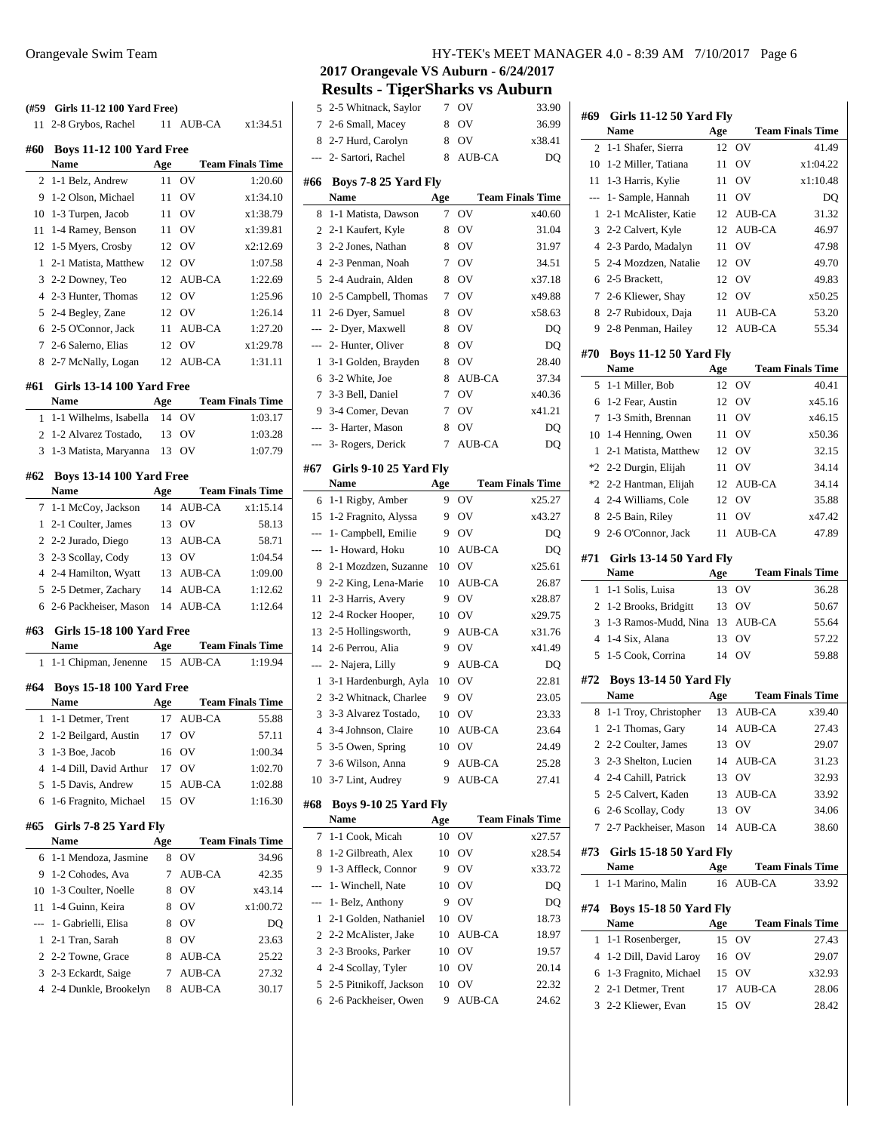#### **(#59 Girls 11-12 100 Yard Free)**

| (#59           | Girls 11-12 100 Yard Free)                      |     |                               |                         |
|----------------|-------------------------------------------------|-----|-------------------------------|-------------------------|
| 11             | 2-8 Grybos, Rachel                              |     | 11 AUB-CA                     | x1:34.51                |
| #60            | <b>Boys 11-12 100 Yard Free</b>                 |     |                               |                         |
|                | Name                                            | Age |                               | <b>Team Finals Time</b> |
| 2              | 1-1 Belz. Andrew                                | 11  | OV                            | 1:20.60                 |
| 9              | 1-2 Olson, Michael                              | 11  | OV                            | x1:34.10                |
| 10             | 1-3 Turpen, Jacob                               | 11  | OV                            | x1:38.79                |
| 11             | 1-4 Ramey, Benson                               | 11  | OV                            | x1:39.81                |
| 12             | 1-5 Myers, Crosby                               | 12  | OV                            | x2:12.69                |
| 1              | 2-1 Matista, Matthew                            | 12  | OV                            | 1:07.58                 |
| 3              | 2-2 Downey, Teo                                 | 12  | <b>AUB-CA</b>                 | 1:22.69                 |
| $\overline{4}$ | 2-3 Hunter, Thomas                              | 12  | OV                            | 1:25.96                 |
| 5              | 2-4 Begley, Zane                                | 12  | OV                            | 1:26.14                 |
| 6              | 2-5 O'Connor, Jack                              | 11  | AUB-CA                        | 1:27.20                 |
| 7              | 2-6 Salerno, Elias                              | 12  | OV                            | x1:29.78                |
| 8              | 2-7 McNally, Logan                              | 12  | <b>AUB-CA</b>                 | 1:31.11                 |
|                |                                                 |     |                               |                         |
| #61            | <b>Girls 13-14 100 Yard Free</b><br><b>Name</b> | Age |                               | <b>Team Finals Time</b> |
| 1              | 1-1 Wilhelms, Isabella                          | 14  | OV                            | 1:03.17                 |
| $\overline{c}$ | 1-2 Alvarez Tostado,                            | 13  | OV                            | 1:03.28                 |
| 3              | 1-3 Matista, Maryanna                           | 13  | OV                            | 1:07.79                 |
|                |                                                 |     |                               |                         |
| #62            | <b>Boys 13-14 100 Yard Free</b>                 |     |                               |                         |
|                | Name                                            | Age |                               | <b>Team Finals Time</b> |
| 7              | 1-1 McCoy, Jackson                              | 14  | <b>AUB-CA</b>                 | x1:15.14                |
| 1              | 2-1 Coulter, James                              | 13  | OV                            | 58.13                   |
| $\overline{c}$ | 2-2 Jurado, Diego                               | 13  | AUB-CA                        | 58.71                   |
| 3              | 2-3 Scollay, Cody                               | 13  | OV                            | 1:04.54                 |
| $\overline{4}$ | 2-4 Hamilton, Wyatt                             | 13  | AUB-CA                        | 1:09.00                 |
| 5              | 2-5 Detmer, Zachary                             | 14  | AUB-CA                        | 1:12.62                 |
| 6              | 2-6 Packheiser, Mason                           | 14  | AUB-CA                        | 1:12.64                 |
| #63            | <b>Girls 15-18 100 Yard Free</b>                |     |                               |                         |
|                | Name                                            | Age |                               | <b>Team Finals Time</b> |
| 1              | 1-1 Chipman, Jenenne                            |     | 15 AUB-CA                     | 1:19.94                 |
| #64            | <b>Boys 15-18 100 Yard Free</b>                 |     |                               |                         |
|                | <b>Name</b>                                     | Age |                               | <b>Team Finals Time</b> |
| 1              | 1-1 Detmer, Trent                               | 17  | <b>AUB-CA</b>                 | 55.88                   |
| $\overline{c}$ | 1-2 Beilgard, Austin                            | 17  | OV                            | 57.11                   |
| 3              | 1-3 Boe, Jacob                                  | 16  | $\overline{\text{O}}\text{V}$ | 1:00.34                 |
| 4              | 1-4 Dill, David Arthur                          | 17  | OV                            | 1:02.70                 |
| 5              | 1-5 Davis, Andrew                               | 15  | AUB-CA                        | 1:02.88                 |
| 6              | 1-6 Fragnito, Michael                           | 15  | OV                            | 1:16.30                 |
| #65            | Girls 7-8 25 Yard Fly                           |     |                               |                         |
|                | Name                                            | Age |                               | <b>Team Finals Time</b> |
| 6              | 1-1 Mendoza, Jasmine                            | 8   | ov                            | 34.96                   |
| 9              | 1-2 Cohodes, Ava                                | 7   | AUB-CA                        | 42.35                   |
| 10             | 1-3 Coulter, Noelle                             | 8   | OV                            | x43.14                  |
| 11             | 1-4 Guinn, Keira                                | 8   | OV                            | x1:00.72                |
| ---            | 1- Gabrielli, Elisa                             | 8   | OV                            | DQ                      |
| 1              | 2-1 Tran, Sarah                                 | 8   | OV                            | 23.63                   |
| $\overline{c}$ | 2-2 Towne, Grace                                | 8   | AUB-CA                        | 25.22                   |
| 3              | 2-3 Eckardt, Saige                              | 7   | AUB-CA                        | 27.32                   |
| 4              | 2-4 Dunkle, Brookelyn                           | 8   | AUB-CA                        | 30.17                   |
|                |                                                 |     |                               |                         |

## Orangevale Swim Team HY-TEK's MEET MANAGER 4.0 - 8:39 AM 7/10/2017 Page 6

**2017 Orangevale VS Auburn - 6/24/2017**

**Results - TigerSharks vs Auburn**

| 5              | 2-5 Whitnack, Saylor                       | 7   | ov            | 33.90                   |
|----------------|--------------------------------------------|-----|---------------|-------------------------|
| 7              | 2-6 Small, Macey                           | 8   | OV            | 36.99                   |
| 8              | 2-7 Hurd, Carolyn                          | 8   | OV            | x38.41                  |
| ---            | 2- Sartori, Rachel                         | 8   | AUB-CA        | DO                      |
|                |                                            |     |               |                         |
| #66            | Boys 7-8 25 Yard Fly                       |     |               |                         |
|                | <b>Name</b>                                | Age |               | <b>Team Finals Time</b> |
| 8              | 1-1 Matista, Dawson                        | 7   | OV            | x40.60                  |
| 2              | 2-1 Kaufert, Kyle                          | 8   | ov            | 31.04                   |
| 3              | 2-2 Jones, Nathan                          | 8   | ov            | 31.97                   |
| $\overline{4}$ | 2-3 Penman, Noah                           | 7   | OV            | 34.51                   |
| 5              | 2-4 Audrain, Alden                         | 8   | ov            | x37.18                  |
| 10             | 2-5 Campbell, Thomas                       | 7   | OV            | x49.88                  |
| 11             | 2-6 Dyer, Samuel                           | 8   | OV            | x58.63                  |
| $\overline{a}$ | 2- Dyer, Maxwell                           | 8   | OV            | DQ                      |
| ---            | 2- Hunter, Oliver                          | 8   | OV            | DQ                      |
| 1              | 3-1 Golden, Brayden                        | 8   | OV            | 28.40                   |
| 6              | 3-2 White, Joe                             | 8   | <b>AUB-CA</b> | 37.34                   |
| 7              | 3-3 Bell, Daniel                           | 7   | OV            | x40.36                  |
| 9              | 3-4 Comer, Devan                           | 7   | OV            | x41.21                  |
| $---$          | 3- Harter, Mason                           | 8   | OV            | DQ                      |
| ---            | 3- Rogers, Derick                          | 7   | <b>AUB-CA</b> | DQ                      |
| #67            | Girls 9-10 25 Yard Fly                     |     |               |                         |
|                | Name                                       | Age |               | <b>Team Finals Time</b> |
| 6              | 1-1 Rigby, Amber                           | 9   | ov            | x25.27                  |
| 15             | 1-2 Fragnito, Alyssa                       | 9   | OV            | x43.27                  |
|                | 1- Campbell, Emilie                        | 9.  | OV            | DQ                      |
|                | 1- Howard, Hoku                            | 10  | <b>AUB-CA</b> | DQ                      |
| 8              | 2-1 Mozdzen, Suzanne                       | 10  | OV            | x25.61                  |
| 9              | 2-2 King, Lena-Marie                       | 10  | <b>AUB-CA</b> | 26.87                   |
| 11             | 2-3 Harris, Avery                          | 9   | OV            | x28.87                  |
| 12             | 2-4 Rocker Hooper,                         | 10  | OV            | x29.75                  |
| 13             | 2-5 Hollingsworth,                         | 9.  | <b>AUB-CA</b> | x31.76                  |
| 14             | 2-6 Perrou, Alia                           | 9   | OV            | x41.49                  |
| $\overline{a}$ | 2- Najera, Lilly                           | 9   | <b>AUB-CA</b> | DQ                      |
| 1              | 3-1 Hardenburgh, Ayla                      | 10  | OV            | 22.81                   |
| 2              | 3-2 Whitnack, Charlee                      | 9   | OV            | 23.05                   |
| 3              | 3-3 Alvarez Tostado,                       | 10  | OV            | 23.33                   |
| $\overline{4}$ | 3-4 Johnson, Claire                        | 10  | AUB-CA        | 23.64                   |
| 5              | 3-5 Owen, Spring                           | 10  | OV            | 24.49                   |
| 7              | 3-6 Wilson, Anna                           | 9   | AUB-CA        | 25.28                   |
| 10             | 3-7 Lint, Audrey                           | 9   | AUB-CA        | 27.41                   |
|                |                                            |     |               |                         |
| #68            | <b>Boys 9-10 25 Yard Fly</b>               |     |               |                         |
|                | Name                                       | Age |               | <b>Team Finals Time</b> |
| 7              | 1-1 Cook, Micah                            | 10  | ov            | x27.57                  |
| 8              | 1-2 Gilbreath, Alex<br>1-3 Affleck, Connor | 10  | ov            | x28.54                  |
| 9              |                                            | 9   | ov            | x33.72                  |
| ---            | 1- Winchell, Nate                          | 10  | OV            | DQ                      |
| ---            | 1- Belz, Anthony                           | 9   | ov            | DQ                      |
| 1              | 2-1 Golden, Nathaniel                      | 10  | OV            | 18.73                   |
| 2              | 2-2 McAlister, Jake                        | 10  | AUB-CA        | 18.97                   |
| 3              | 2-3 Brooks, Parker                         | 10  | OV            | 19.57                   |
| $\overline{4}$ | 2-4 Scollay, Tyler                         | 10  | OV            | 20.14                   |
| 5              | 2-5 Pitnikoff, Jackson                     | 10  | ov            | 22.32                   |
| 6              | 2-6 Packheiser, Owen                       | 9   | AUB-CA        | 24.62                   |

| #69            | <b>Girls 11-12 50 Yard Fly</b><br>Name       | Age       |                         | <b>Team Finals Time</b> |
|----------------|----------------------------------------------|-----------|-------------------------|-------------------------|
| 2              | 1-1 Shafer, Sierra                           | 12        | OV                      | 41.49                   |
| 10             | 1-2 Miller, Tatiana                          | 11        | OV                      | x1:04.22                |
| 11             | 1-3 Harris, Kylie                            | 11        | ov                      | x1:10.48                |
| ---            | 1- Sample, Hannah                            | 11        | OV                      | DO                      |
| 1              | 2-1 McAlister, Katie                         | 12        | <b>AUB-CA</b>           | 31.32                   |
| 3              | 2-2 Calvert, Kyle                            | 12        | <b>AUB-CA</b>           | 46.97                   |
| 4              | 2-3 Pardo, Madalyn                           | 11        | OV                      | 47.98                   |
| 5              | 2-4 Mozdzen, Natalie                         | 12        | O <sub>V</sub>          | 49.70                   |
| 6              | 2-5 Brackett,                                | 12        | OV                      | 49.83                   |
| 7              | 2-6 Kliewer, Shay                            | 12        | OV                      | x50.25                  |
| 8              | 2-7 Rubidoux, Daja                           | 11        | AUB-CA                  | 53.20                   |
| 9.             | 2-8 Penman, Hailey                           | 12        | AUB-CA                  | 55.34                   |
|                |                                              |           |                         |                         |
| #70            | <b>Boys 11-12 50 Yard Fly</b>                |           |                         |                         |
|                | Name                                         | Age       |                         | <b>Team Finals Time</b> |
| 5              | 1-1 Miller, Bob                              | 12        | OV                      | 40.41                   |
| 6              | 1-2 Fear, Austin                             | 12        | OV                      | x45.16                  |
| 7              | 1-3 Smith, Brennan                           | 11        | OV                      | x46.15                  |
| 10             | 1-4 Henning, Owen                            | 11        | OV                      | x50.36                  |
| 1              | 2-1 Matista, Matthew                         | 12        | OV                      | 32.15                   |
| $*2$           | 2-2 Durgin, Elijah                           | 11        | OV                      | 34.14                   |
| $*2$           | 2-2 Hantman, Elijah<br>2-4 Williams, Cole    | 12        | <b>AUB-CA</b><br>OV     | 34.14                   |
| 4              | 2-5 Bain, Riley                              | 12        |                         | 35.88                   |
| 8<br>9         |                                              | 11        | OV<br><b>AUB-CA</b>     | x47.42                  |
|                | 2-6 O'Connor, Jack                           | 11        |                         | 47.89                   |
| #71            | <b>Girls 13-14 50 Yard Fly</b><br>Name       |           |                         | <b>Team Finals Time</b> |
| 1              | 1-1 Solis, Luisa                             | Age<br>13 | OV                      | 36.28                   |
| 2              | 1-2 Brooks, Bridgitt                         | 13        | OV                      | 50.67                   |
| 3              | 1-3 Ramos-Mudd, Nina                         | 13        | AUB-CA                  | 55.64                   |
| 4              | 1-4 Six, Alana                               | 13        | OV                      | 57.22                   |
| 5              | 1-5 Cook, Corrina                            | 14        | OV                      | 59.88                   |
|                |                                              |           |                         |                         |
| #72            | <b>Boys 13-14 50 Yard Fly</b>                |           |                         |                         |
|                | Name                                         | Age       |                         | <b>Team Finals Time</b> |
| 8              | 1-1 Troy, Christopher                        | 13<br>14  | <b>AUB-CA</b><br>AUB-CA | x39.40                  |
| 1              | 2-1 Thomas, Gary<br>2-2 Coulter, James       |           |                         | 27.43                   |
| $\overline{2}$ |                                              |           | 13 OV                   | 29.07                   |
| 3              | 2-3 Shelton, Lucien<br>4 2-4 Cahill, Patrick | 14<br>13  | AUB-CA<br>OV            | 31.23                   |
| 5              | 2-5 Calvert, Kaden                           | 13        |                         | 32.93                   |
| 6              | 2-6 Scollay, Cody                            | 13        | AUB-CA<br>OV            | 33.92<br>34.06          |
| 7              | 2-7 Packheiser, Mason                        | 14        | AUB-CA                  | 38.60                   |
|                |                                              |           |                         |                         |
| #73            | <b>Girls 15-18 50 Yard Fly</b>               |           |                         |                         |
|                | Name                                         | Age       |                         | <b>Team Finals Time</b> |
| 1              | 1-1 Marino, Malin                            | 16        | AUB-CA                  | 33.92                   |
| #74            | <b>Boys 15-18 50 Yard Fly</b><br><b>Name</b> | Age       |                         | <b>Team Finals Time</b> |
| 1              | 1-1 Rosenberger,                             | 15        | OV                      | 27.43                   |
| 4              | 1-2 Dill, David Laroy                        | 16        | OV                      | 29.07                   |
| 6              | 1-3 Fragnito, Michael                        | 15        | OV                      | x32.93                  |
| 2              | 2-1 Detmer, Trent                            | 17        | AUB-CA                  | 28.06                   |
| 3              | 2-2 Kliewer, Evan                            | 15        | OV                      | 28.42                   |
|                |                                              |           |                         |                         |